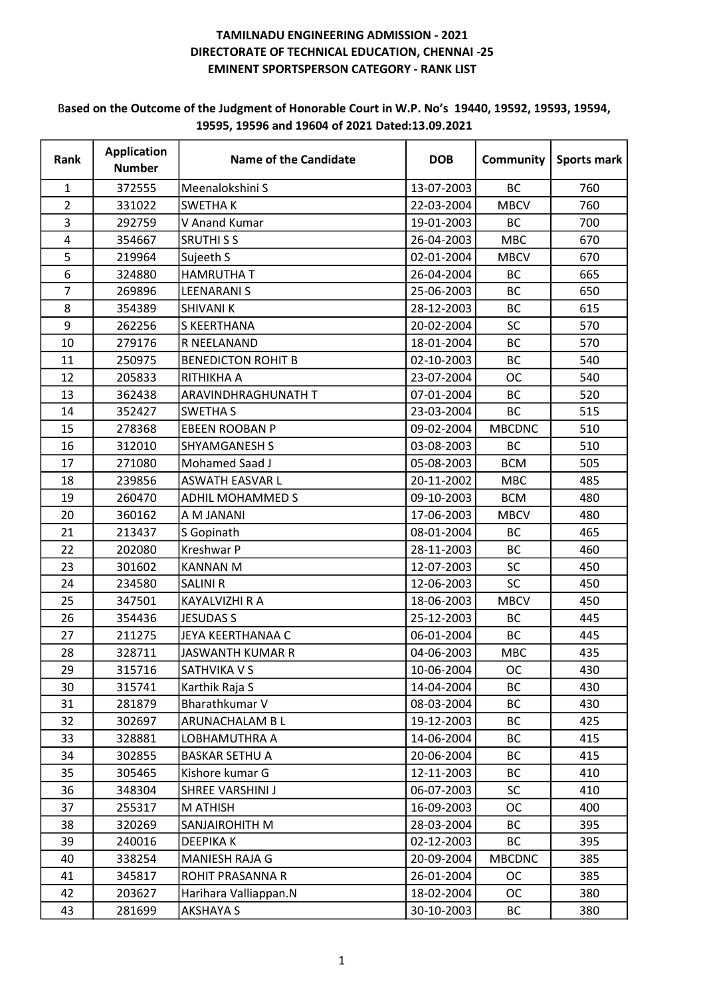#### Based on the Outcome of the Judgment of Honorable Court in W.P. No's 19440, 19592, 19593, 19594, 19595, 19596 and 19604 of 2021 Dated:13.09.2021

| Rank           | <b>Application</b><br><b>Number</b> | <b>Name of the Candidate</b> | <b>DOB</b> | <b>Community</b> | Sports mark |
|----------------|-------------------------------------|------------------------------|------------|------------------|-------------|
| 1              | 372555                              | Meenalokshini S              | 13-07-2003 | <b>BC</b>        | 760         |
| $\overline{2}$ | 331022                              | <b>SWETHAK</b>               | 22-03-2004 | <b>MBCV</b>      | 760         |
| 3              | 292759                              | V Anand Kumar                | 19-01-2003 | <b>BC</b>        | 700         |
| 4              | 354667                              | <b>SRUTHISS</b>              | 26-04-2003 | <b>MBC</b>       | 670         |
| 5              | 219964                              | Sujeeth S                    | 02-01-2004 | <b>MBCV</b>      | 670         |
| 6              | 324880                              | <b>HAMRUTHA T</b>            | 26-04-2004 | BC               | 665         |
| 7              | 269896                              | <b>LEENARANIS</b>            | 25-06-2003 | <b>BC</b>        | 650         |
| 8              | 354389                              | <b>SHIVANI K</b>             | 28-12-2003 | BC               | 615         |
| 9              | 262256                              | <b>S KEERTHANA</b>           | 20-02-2004 | SC               | 570         |
| 10             | 279176                              | R NEELANAND                  | 18-01-2004 | <b>BC</b>        | 570         |
| 11             | 250975                              | <b>BENEDICTON ROHIT B</b>    | 02-10-2003 | <b>BC</b>        | 540         |
| 12             | 205833                              | RITHIKHA A                   | 23-07-2004 | OC               | 540         |
| 13             | 362438                              | ARAVINDHRAGHUNATH T          | 07-01-2004 | BC               | 520         |
| 14             | 352427                              | <b>SWETHA S</b>              | 23-03-2004 | <b>BC</b>        | 515         |
| 15             | 278368                              | <b>EBEEN ROOBAN P</b>        | 09-02-2004 | <b>MBCDNC</b>    | 510         |
| 16             | 312010                              | <b>SHYAMGANESH S</b>         | 03-08-2003 | <b>BC</b>        | 510         |
| 17             | 271080                              | Mohamed Saad J               | 05-08-2003 | <b>BCM</b>       | 505         |
| 18             | 239856                              | <b>ASWATH EASVAR L</b>       | 20-11-2002 | <b>MBC</b>       | 485         |
| 19             | 260470                              | ADHIL MOHAMMED S             | 09-10-2003 | <b>BCM</b>       | 480         |
| 20             | 360162                              | A M JANANI                   | 17-06-2003 | <b>MBCV</b>      | 480         |
| 21             | 213437                              | S Gopinath                   | 08-01-2004 | BC               | 465         |
| 22             | 202080                              | Kreshwar P                   | 28-11-2003 | BC               | 460         |
| 23             | 301602                              | <b>KANNAN M</b>              | 12-07-2003 | <b>SC</b>        | 450         |
| 24             | 234580                              | <b>SALINI R</b>              | 12-06-2003 | SC               | 450         |
| 25             | 347501                              | <b>KAYALVIZHI R A</b>        | 18-06-2003 | <b>MBCV</b>      | 450         |
| 26             | 354436                              | <b>JESUDAS S</b>             | 25-12-2003 | BC               | 445         |
| 27             | 211275                              | JEYA KEERTHANAA C            | 06-01-2004 | BC               | 445         |
| 28             | 328711                              | JASWANTH KUMAR R             | 04-06-2003 | <b>MBC</b>       | 435         |
| 29             | 315716                              | SATHVIKA V S                 | 10-06-2004 | OC.              | 430         |
| 30             | 315741                              | Karthik Raja S               | 14-04-2004 | <b>BC</b>        | 430         |
| 31             | 281879                              | Bharathkumar V               | 08-03-2004 | BC               | 430         |
| 32             | 302697                              | ARUNACHALAM B L              | 19-12-2003 | <b>BC</b>        | 425         |
| 33             | 328881                              | LOBHAMUTHRA A                | 14-06-2004 | <b>BC</b>        | 415         |
| 34             | 302855                              | <b>BASKAR SETHU A</b>        | 20-06-2004 | <b>BC</b>        | 415         |
| 35             | 305465                              | Kishore kumar G              | 12-11-2003 | <b>BC</b>        | 410         |
| 36             | 348304                              | SHREE VARSHINI J             | 06-07-2003 | <b>SC</b>        | 410         |
| 37             | 255317                              | M ATHISH                     | 16-09-2003 | <b>OC</b>        | 400         |
| 38             | 320269                              | <b>SANJAIROHITH M</b>        | 28-03-2004 | BC               | 395         |
| 39             | 240016                              | <b>DEEPIKAK</b>              | 02-12-2003 | <b>BC</b>        | 395         |
| 40             | 338254                              | <b>MANIESH RAJA G</b>        | 20-09-2004 | <b>MBCDNC</b>    | 385         |
| 41             | 345817                              | ROHIT PRASANNA R             | 26-01-2004 | ОC               | 385         |
| 42             | 203627                              | Harihara Valliappan.N        | 18-02-2004 | <b>OC</b>        | 380         |
| 43             | 281699                              | <b>AKSHAYA S</b>             | 30-10-2003 | BC               | 380         |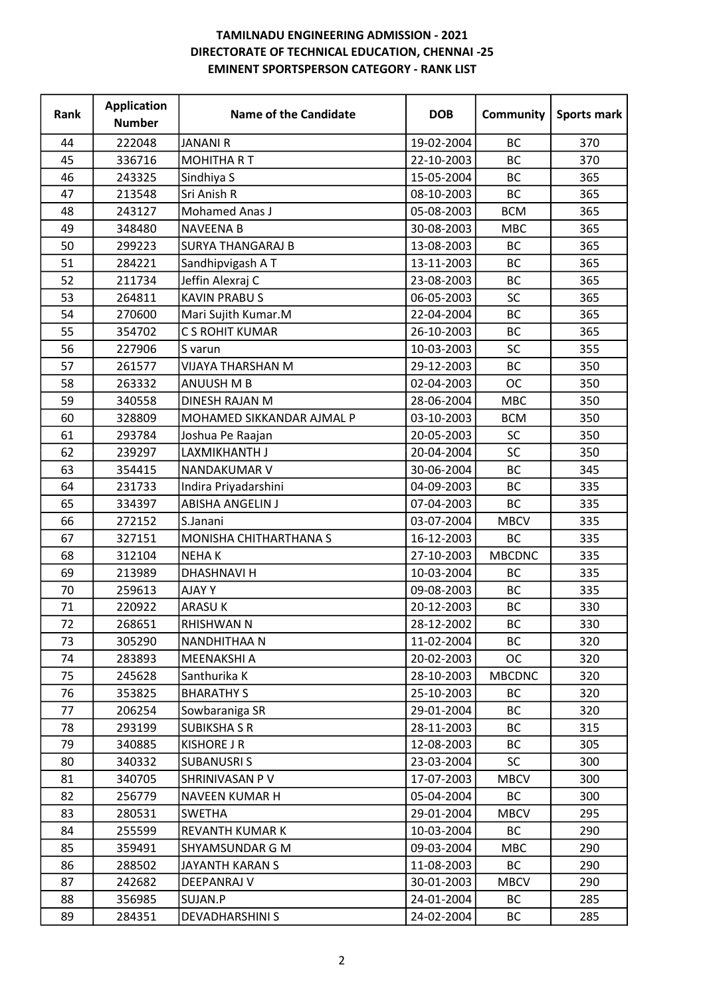| Rank | <b>Application</b><br><b>Number</b> | <b>Name of the Candidate</b> | <b>DOB</b> | Community     | <b>Sports mark</b> |
|------|-------------------------------------|------------------------------|------------|---------------|--------------------|
| 44   | 222048                              | <b>JANANI R</b>              | 19-02-2004 | <b>BC</b>     | 370                |
| 45   | 336716                              | <b>MOHITHA RT</b>            | 22-10-2003 | <b>BC</b>     | 370                |
| 46   | 243325                              | Sindhiya S                   | 15-05-2004 | <b>BC</b>     | 365                |
| 47   | 213548                              | Sri Anish R                  | 08-10-2003 | BC            | 365                |
| 48   | 243127                              | Mohamed Anas J               | 05-08-2003 | <b>BCM</b>    | 365                |
| 49   | 348480                              | <b>NAVEENA B</b>             | 30-08-2003 | <b>MBC</b>    | 365                |
| 50   | 299223                              | <b>SURYA THANGARAJ B</b>     | 13-08-2003 | BC            | 365                |
| 51   | 284221                              | Sandhipvigash AT             | 13-11-2003 | <b>BC</b>     | 365                |
| 52   | 211734                              | Jeffin Alexraj C             | 23-08-2003 | <b>BC</b>     | 365                |
| 53   | 264811                              | <b>KAVIN PRABUS</b>          | 06-05-2003 | <b>SC</b>     | 365                |
| 54   | 270600                              | Mari Sujith Kumar.M          | 22-04-2004 | BC            | 365                |
| 55   | 354702                              | C S ROHIT KUMAR              | 26-10-2003 | <b>BC</b>     | 365                |
| 56   | 227906                              | S varun                      | 10-03-2003 | SC            | 355                |
| 57   | 261577                              | VIJAYA THARSHAN M            | 29-12-2003 | BC            | 350                |
| 58   | 263332                              | <b>ANUUSH M B</b>            | 02-04-2003 | <b>OC</b>     | 350                |
| 59   | 340558                              | <b>DINESH RAJAN M</b>        | 28-06-2004 | <b>MBC</b>    | 350                |
| 60   | 328809                              | MOHAMED SIKKANDAR AJMAL P    | 03-10-2003 | <b>BCM</b>    | 350                |
| 61   | 293784                              | Joshua Pe Raajan             | 20-05-2003 | SC            | 350                |
| 62   | 239297                              | LAXMIKHANTH J                | 20-04-2004 | <b>SC</b>     | 350                |
| 63   | 354415                              | NANDAKUMAR V                 | 30-06-2004 | BC            | 345                |
| 64   | 231733                              | Indira Priyadarshini         | 04-09-2003 | <b>BC</b>     | 335                |
| 65   | 334397                              | <b>ABISHA ANGELIN J</b>      | 07-04-2003 | <b>BC</b>     | 335                |
| 66   | 272152                              | S.Janani                     | 03-07-2004 | <b>MBCV</b>   | 335                |
| 67   | 327151                              | MONISHA CHITHARTHANA S       | 16-12-2003 | BC            | 335                |
| 68   | 312104                              | <b>NEHAK</b>                 | 27-10-2003 | <b>MBCDNC</b> | 335                |
| 69   | 213989                              | <b>DHASHNAVI H</b>           | 10-03-2004 | BC            | 335                |
| 70   | 259613                              | <b>AJAYY</b>                 | 09-08-2003 | BC            | 335                |
| 71   | 220922                              | ARASU K                      | 20-12-2003 | <b>BC</b>     | 330                |
| 72   | 268651                              | RHISHWAN N                   | 28-12-2002 | ВC            | 330                |
| 73   | 305290                              | NANDHITHAA N                 | 11-02-2004 | BC            | 320                |
| 74   | 283893                              | <b>MEENAKSHI A</b>           | 20-02-2003 | ОC            | 320                |
| 75   | 245628                              | Santhurika K                 | 28-10-2003 | <b>MBCDNC</b> | 320                |
| 76   | 353825                              | <b>BHARATHY S</b>            | 25-10-2003 | BC            | 320                |
| 77   | 206254                              | Sowbaraniga SR               | 29-01-2004 | <b>BC</b>     | 320                |
| 78   | 293199                              | <b>SUBIKSHA S R</b>          | 28-11-2003 | BC            | 315                |
| 79   | 340885                              | <b>KISHORE J R</b>           | 12-08-2003 | <b>BC</b>     | 305                |
| 80   | 340332                              | <b>SUBANUSRIS</b>            | 23-03-2004 | <b>SC</b>     | 300                |
| 81   | 340705                              | SHRINIVASAN P V              | 17-07-2003 | <b>MBCV</b>   | 300                |
| 82   | 256779                              | NAVEEN KUMAR H               | 05-04-2004 | BC            | 300                |
| 83   | 280531                              | <b>SWETHA</b>                | 29-01-2004 | <b>MBCV</b>   | 295                |
| 84   | 255599                              | <b>REVANTH KUMAR K</b>       | 10-03-2004 | <b>BC</b>     | 290                |
| 85   | 359491                              | SHYAMSUNDAR G M              | 09-03-2004 | <b>MBC</b>    | 290                |
| 86   | 288502                              | JAYANTH KARAN S              | 11-08-2003 | ВC            | 290                |
| 87   | 242682                              | DEEPANRAJ V                  | 30-01-2003 | <b>MBCV</b>   | 290                |
| 88   | 356985                              | SUJAN.P                      | 24-01-2004 | BC            | 285                |
| 89   | 284351                              | <b>DEVADHARSHINI S</b>       | 24-02-2004 | ВC            | 285                |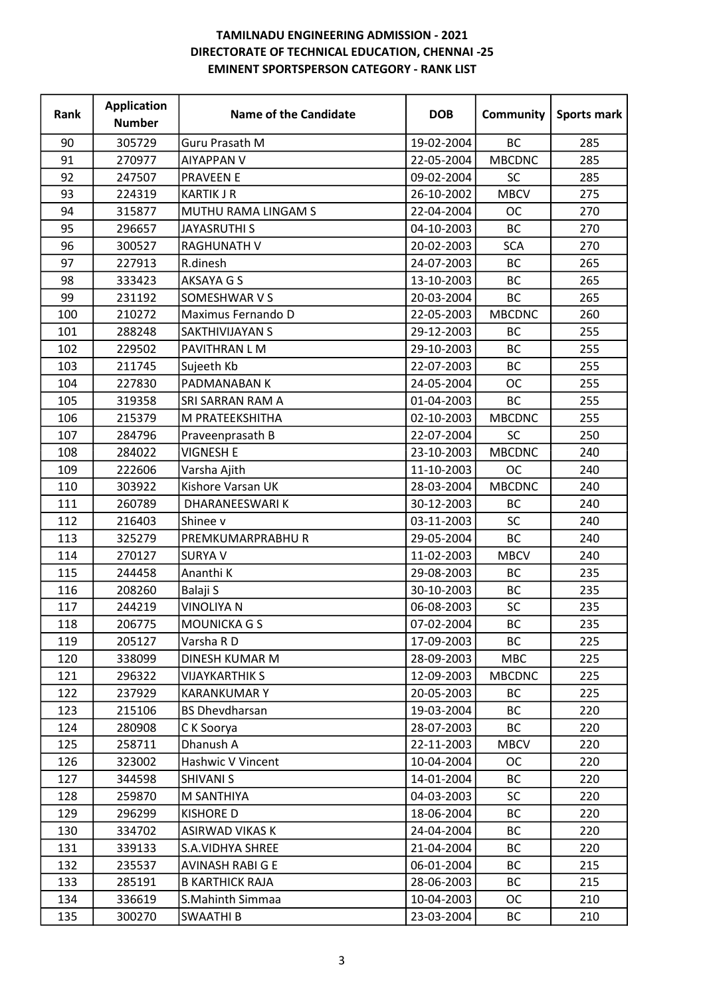| Rank | <b>Application</b><br><b>Number</b> | <b>Name of the Candidate</b> | <b>DOB</b> | Community     | Sports mark |
|------|-------------------------------------|------------------------------|------------|---------------|-------------|
| 90   | 305729                              | Guru Prasath M               | 19-02-2004 | <b>BC</b>     | 285         |
| 91   | 270977                              | <b>AIYAPPAN V</b>            | 22-05-2004 | <b>MBCDNC</b> | 285         |
| 92   | 247507                              | <b>PRAVEEN E</b>             | 09-02-2004 | <b>SC</b>     | 285         |
| 93   | 224319                              | <b>KARTIK J R</b>            | 26-10-2002 | <b>MBCV</b>   | 275         |
| 94   | 315877                              | MUTHU RAMA LINGAM S          | 22-04-2004 | <b>OC</b>     | 270         |
| 95   | 296657                              | <b>JAYASRUTHI S</b>          | 04-10-2003 | <b>BC</b>     | 270         |
| 96   | 300527                              | <b>RAGHUNATH V</b>           | 20-02-2003 | <b>SCA</b>    | 270         |
| 97   | 227913                              | R.dinesh                     | 24-07-2003 | <b>BC</b>     | 265         |
| 98   | 333423                              | AKSAYA G S                   | 13-10-2003 | <b>BC</b>     | 265         |
| 99   | 231192                              | SOMESHWAR V S                | 20-03-2004 | <b>BC</b>     | 265         |
| 100  | 210272                              | Maximus Fernando D           | 22-05-2003 | <b>MBCDNC</b> | 260         |
| 101  | 288248                              | SAKTHIVIJAYAN S              | 29-12-2003 | <b>BC</b>     | 255         |
| 102  | 229502                              | PAVITHRAN L M                | 29-10-2003 | <b>BC</b>     | 255         |
| 103  | 211745                              | Sujeeth Kb                   | 22-07-2003 | BC            | 255         |
| 104  | 227830                              | PADMANABAN K                 | 24-05-2004 | <b>OC</b>     | 255         |
| 105  | 319358                              | SRI SARRAN RAM A             | 01-04-2003 | BC            | 255         |
| 106  | 215379                              | M PRATEEKSHITHA              | 02-10-2003 | <b>MBCDNC</b> | 255         |
| 107  | 284796                              | Praveenprasath B             | 22-07-2004 | SC            | 250         |
| 108  | 284022                              | <b>VIGNESH E</b>             | 23-10-2003 | <b>MBCDNC</b> | 240         |
| 109  | 222606                              | Varsha Ajith                 | 11-10-2003 | <b>OC</b>     | 240         |
| 110  | 303922                              | Kishore Varsan UK            | 28-03-2004 | <b>MBCDNC</b> | 240         |
| 111  | 260789                              | DHARANEESWARI K              | 30-12-2003 | <b>BC</b>     | 240         |
| 112  | 216403                              | Shinee v                     | 03-11-2003 | <b>SC</b>     | 240         |
| 113  | 325279                              | PREMKUMARPRABHU R            | 29-05-2004 | <b>BC</b>     | 240         |
| 114  | 270127                              | <b>SURYA V</b>               | 11-02-2003 | <b>MBCV</b>   | 240         |
| 115  | 244458                              | Ananthi K                    | 29-08-2003 | BC            | 235         |
| 116  | 208260                              | Balaji S                     | 30-10-2003 | BC            | 235         |
| 117  | 244219                              | <b>VINOLIYA N</b>            | 06-08-2003 | SC            | 235         |
| 118  | 206775                              | MOUNICKA G S                 | 07-02-2004 | ВC            | 235         |
| 119  | 205127                              | Varsha R D                   | 17-09-2003 | BC            | 225         |
| 120  | 338099                              | DINESH KUMAR M               | 28-09-2003 | <b>MBC</b>    | 225         |
| 121  | 296322                              | <b>VIJAYKARTHIK S</b>        | 12-09-2003 | <b>MBCDNC</b> | 225         |
| 122  | 237929                              | <b>KARANKUMAR Y</b>          | 20-05-2003 | BC            | 225         |
| 123  | 215106                              | <b>BS Dhevdharsan</b>        | 19-03-2004 | <b>BC</b>     | 220         |
| 124  | 280908                              | C K Soorya                   | 28-07-2003 | <b>BC</b>     | 220         |
| 125  | 258711                              | Dhanush A                    | 22-11-2003 | <b>MBCV</b>   | 220         |
| 126  | 323002                              | Hashwic V Vincent            | 10-04-2004 | <b>OC</b>     | 220         |
| 127  | 344598                              | <b>SHIVANI S</b>             | 14-01-2004 | <b>BC</b>     | 220         |
| 128  | 259870                              | M SANTHIYA                   | 04-03-2003 | <b>SC</b>     | 220         |
| 129  | 296299                              | <b>KISHORE D</b>             | 18-06-2004 | BC            | 220         |
| 130  | 334702                              | ASIRWAD VIKAS K              | 24-04-2004 | <b>BC</b>     | 220         |
| 131  | 339133                              | <b>S.A.VIDHYA SHREE</b>      | 21-04-2004 | BC            | 220         |
| 132  | 235537                              | <b>AVINASH RABI G E</b>      | 06-01-2004 | ВC            | 215         |
| 133  | 285191                              | <b>B KARTHICK RAJA</b>       | 28-06-2003 | BC            | 215         |
| 134  | 336619                              | S.Mahinth Simmaa             | 10-04-2003 | ОC            | 210         |
| 135  | 300270                              | <b>SWAATHIB</b>              | 23-03-2004 | ВC            | 210         |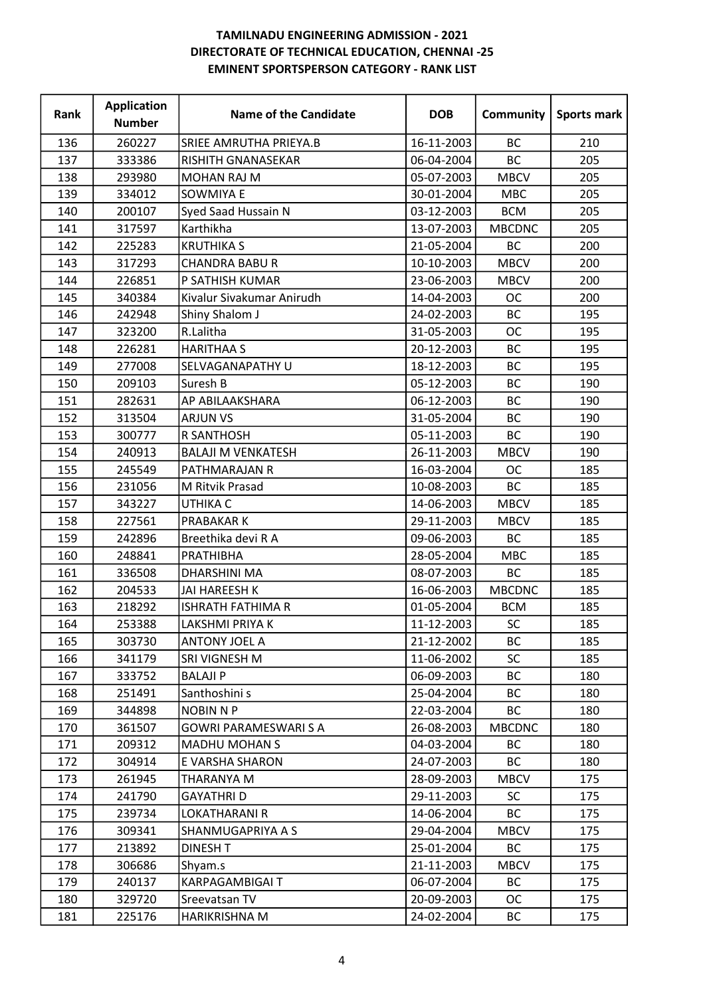| Rank | <b>Application</b><br><b>Number</b> | <b>Name of the Candidate</b> | <b>DOB</b> | Community     | Sports mark |
|------|-------------------------------------|------------------------------|------------|---------------|-------------|
| 136  | 260227                              | SRIEE AMRUTHA PRIEYA.B       | 16-11-2003 | <b>BC</b>     | 210         |
| 137  | 333386                              | RISHITH GNANASEKAR           | 06-04-2004 | <b>BC</b>     | 205         |
| 138  | 293980                              | <b>MOHAN RAJ M</b>           | 05-07-2003 | <b>MBCV</b>   | 205         |
| 139  | 334012                              | <b>SOWMIYA E</b>             | 30-01-2004 | <b>MBC</b>    | 205         |
| 140  | 200107                              | Syed Saad Hussain N          | 03-12-2003 | <b>BCM</b>    | 205         |
| 141  | 317597                              | Karthikha                    | 13-07-2003 | <b>MBCDNC</b> | 205         |
| 142  | 225283                              | <b>KRUTHIKA S</b>            | 21-05-2004 | <b>BC</b>     | 200         |
| 143  | 317293                              | <b>CHANDRA BABU R</b>        | 10-10-2003 | <b>MBCV</b>   | 200         |
| 144  | 226851                              | P SATHISH KUMAR              | 23-06-2003 | <b>MBCV</b>   | 200         |
| 145  | 340384                              | Kivalur Sivakumar Anirudh    | 14-04-2003 | <b>OC</b>     | 200         |
| 146  | 242948                              | Shiny Shalom J               | 24-02-2003 | BC            | 195         |
| 147  | 323200                              | R.Lalitha                    | 31-05-2003 | <b>OC</b>     | 195         |
| 148  | 226281                              | <b>HARITHAA S</b>            | 20-12-2003 | BC            | 195         |
| 149  | 277008                              | SELVAGANAPATHY U             | 18-12-2003 | BC            | 195         |
| 150  | 209103                              | Suresh B                     | 05-12-2003 | <b>BC</b>     | 190         |
| 151  | 282631                              | AP ABILAAKSHARA              | 06-12-2003 | <b>BC</b>     | 190         |
| 152  | 313504                              | <b>ARJUN VS</b>              | 31-05-2004 | BC            | 190         |
| 153  | 300777                              | R SANTHOSH                   | 05-11-2003 | BC            | 190         |
| 154  | 240913                              | <b>BALAJI M VENKATESH</b>    | 26-11-2003 | <b>MBCV</b>   | 190         |
| 155  | 245549                              | PATHMARAJAN R                | 16-03-2004 | <b>OC</b>     | 185         |
| 156  | 231056                              | M Ritvik Prasad              | 10-08-2003 | <b>BC</b>     | 185         |
| 157  | 343227                              | UTHIKA C                     | 14-06-2003 | <b>MBCV</b>   | 185         |
| 158  | 227561                              | PRABAKAR K                   | 29-11-2003 | <b>MBCV</b>   | 185         |
| 159  | 242896                              | Breethika devi R A           | 09-06-2003 | BC            | 185         |
| 160  | 248841                              | PRATHIBHA                    | 28-05-2004 | <b>MBC</b>    | 185         |
| 161  | 336508                              | <b>DHARSHINI MA</b>          | 08-07-2003 | <b>BC</b>     | 185         |
| 162  | 204533                              | <b>JAI HAREESH K</b>         | 16-06-2003 | <b>MBCDNC</b> | 185         |
| 163  | 218292                              | ISHRATH FATHIMA R            | 01-05-2004 | <b>BCM</b>    | 185         |
| 164  | 253388                              | LAKSHMI PRIYA K              | 11-12-2003 | SC            | 185         |
| 165  | 303730                              | <b>ANTONY JOEL A</b>         | 21-12-2002 | BC            | 185         |
| 166  | 341179                              | SRI VIGNESH M                | 11-06-2002 | <b>SC</b>     | 185         |
| 167  | 333752                              | <b>BALAJI P</b>              | 06-09-2003 | BC            | 180         |
| 168  | 251491                              | Santhoshini s                | 25-04-2004 | ВC            | 180         |
| 169  | 344898                              | <b>NOBIN N P</b>             | 22-03-2004 | ВC            | 180         |
| 170  | 361507                              | <b>GOWRI PARAMESWARI S A</b> | 26-08-2003 | <b>MBCDNC</b> | 180         |
| 171  | 209312                              | <b>MADHU MOHAN S</b>         | 04-03-2004 | BC            | 180         |
| 172  | 304914                              | E VARSHA SHARON              | 24-07-2003 | <b>BC</b>     | 180         |
| 173  | 261945                              | THARANYA M                   | 28-09-2003 | <b>MBCV</b>   | 175         |
| 174  | 241790                              | <b>GAYATHRI D</b>            | 29-11-2003 | <b>SC</b>     | 175         |
| 175  | 239734                              | LOKATHARANI R                | 14-06-2004 | BC            | 175         |
| 176  | 309341                              | SHANMUGAPRIYA A S            | 29-04-2004 | <b>MBCV</b>   | 175         |
| 177  | 213892                              | <b>DINESH T</b>              | 25-01-2004 | BC            | 175         |
| 178  | 306686                              | Shyam.s                      | 21-11-2003 | <b>MBCV</b>   | 175         |
| 179  | 240137                              | KARPAGAMBIGAI T              | 06-07-2004 | ВC            | 175         |
| 180  | 329720                              | Sreevatsan TV                | 20-09-2003 | ОC            | 175         |
| 181  | 225176                              | HARIKRISHNA M                | 24-02-2004 | ВC            | 175         |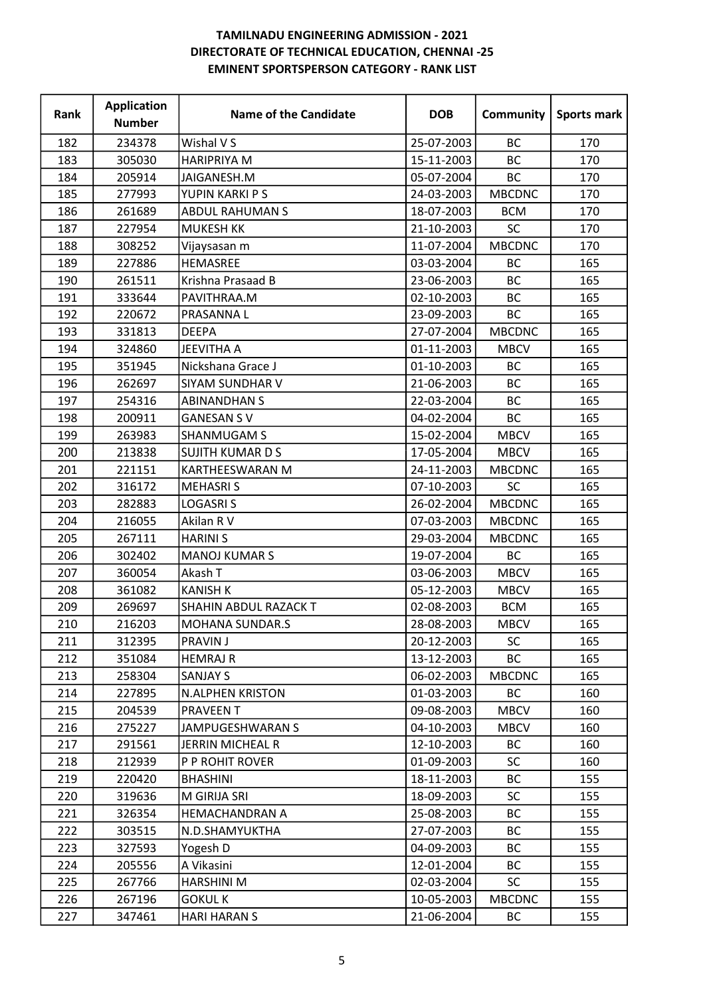| Rank | <b>Application</b><br><b>Number</b> | <b>Name of the Candidate</b> | <b>DOB</b> | Community     | Sports mark |
|------|-------------------------------------|------------------------------|------------|---------------|-------------|
| 182  | 234378                              | Wishal V S                   | 25-07-2003 | <b>BC</b>     | 170         |
| 183  | 305030                              | <b>HARIPRIYA M</b>           | 15-11-2003 | <b>BC</b>     | 170         |
| 184  | 205914                              | JAIGANESH.M                  | 05-07-2004 | <b>BC</b>     | 170         |
| 185  | 277993                              | YUPIN KARKI P S              | 24-03-2003 | <b>MBCDNC</b> | 170         |
| 186  | 261689                              | <b>ABDUL RAHUMAN S</b>       | 18-07-2003 | <b>BCM</b>    | 170         |
| 187  | 227954                              | <b>MUKESH KK</b>             | 21-10-2003 | SC            | 170         |
| 188  | 308252                              | Vijaysasan m                 | 11-07-2004 | <b>MBCDNC</b> | 170         |
| 189  | 227886                              | HEMASREE                     | 03-03-2004 | BC            | 165         |
| 190  | 261511                              | Krishna Prasaad B            | 23-06-2003 | <b>BC</b>     | 165         |
| 191  | 333644                              | PAVITHRAA.M                  | 02-10-2003 | <b>BC</b>     | 165         |
| 192  | 220672                              | PRASANNA L                   | 23-09-2003 | BC            | 165         |
| 193  | 331813                              | <b>DEEPA</b>                 | 27-07-2004 | <b>MBCDNC</b> | 165         |
| 194  | 324860                              | <b>JEEVITHA A</b>            | 01-11-2003 | <b>MBCV</b>   | 165         |
| 195  | 351945                              | Nickshana Grace J            | 01-10-2003 | BC            | 165         |
| 196  | 262697                              | <b>SIYAM SUNDHAR V</b>       | 21-06-2003 | BC            | 165         |
| 197  | 254316                              | <b>ABINANDHAN S</b>          | 22-03-2004 | <b>BC</b>     | 165         |
| 198  | 200911                              | <b>GANESAN SV</b>            | 04-02-2004 | BC            | 165         |
| 199  | 263983                              | SHANMUGAM S                  | 15-02-2004 | <b>MBCV</b>   | 165         |
| 200  | 213838                              | <b>SUJITH KUMARDS</b>        | 17-05-2004 | <b>MBCV</b>   | 165         |
| 201  | 221151                              | <b>KARTHEESWARAN M</b>       | 24-11-2003 | <b>MBCDNC</b> | 165         |
| 202  | 316172                              | <b>MEHASRIS</b>              | 07-10-2003 | SC            | 165         |
| 203  | 282883                              | <b>LOGASRIS</b>              | 26-02-2004 | <b>MBCDNC</b> | 165         |
| 204  | 216055                              | Akilan R V                   | 07-03-2003 | <b>MBCDNC</b> | 165         |
| 205  | 267111                              | <b>HARINI S</b>              | 29-03-2004 | <b>MBCDNC</b> | 165         |
| 206  | 302402                              | <b>MANOJ KUMAR S</b>         | 19-07-2004 | BC            | 165         |
| 207  | 360054                              | Akash T                      | 03-06-2003 | <b>MBCV</b>   | 165         |
| 208  | 361082                              | <b>KANISH K</b>              | 05-12-2003 | <b>MBCV</b>   | 165         |
| 209  | 269697                              | SHAHIN ABDUL RAZACK T        | 02-08-2003 | <b>BCM</b>    | 165         |
| 210  | 216203                              | MOHANA SUNDAR.S              | 28-08-2003 | <b>MBCV</b>   | 165         |
| 211  | 312395                              | <b>PRAVIN J</b>              | 20-12-2003 | <b>SC</b>     | 165         |
| 212  | 351084                              | <b>HEMRAJ R</b>              | 13-12-2003 | <b>BC</b>     | 165         |
| 213  | 258304                              | <b>SANJAY S</b>              | 06-02-2003 | <b>MBCDNC</b> | 165         |
| 214  | 227895                              | <b>N.ALPHEN KRISTON</b>      | 01-03-2003 | ВC            | 160         |
| 215  | 204539                              | <b>PRAVEEN T</b>             | 09-08-2003 | <b>MBCV</b>   | 160         |
| 216  | 275227                              | JAMPUGESHWARAN S             | 04-10-2003 | <b>MBCV</b>   | 160         |
| 217  | 291561                              | JERRIN MICHEAL R             | 12-10-2003 | <b>BC</b>     | 160         |
| 218  | 212939                              | P P ROHIT ROVER              | 01-09-2003 | <b>SC</b>     | 160         |
| 219  | 220420                              | <b>BHASHINI</b>              | 18-11-2003 | BC            | 155         |
| 220  | 319636                              | M GIRIJA SRI                 | 18-09-2003 | SC            | 155         |
| 221  | 326354                              | <b>HEMACHANDRAN A</b>        | 25-08-2003 | BC            | 155         |
| 222  | 303515                              | N.D.SHAMYUKTHA               | 27-07-2003 | <b>BC</b>     | 155         |
| 223  | 327593                              | Yogesh D                     | 04-09-2003 | BC            | 155         |
| 224  | 205556                              | A Vikasini                   | 12-01-2004 | <b>BC</b>     | 155         |
| 225  | 267766                              | <b>HARSHINI M</b>            | 02-03-2004 | <b>SC</b>     | 155         |
| 226  | 267196                              | <b>GOKULK</b>                | 10-05-2003 | <b>MBCDNC</b> | 155         |
| 227  | 347461                              | <b>HARI HARAN S</b>          | 21-06-2004 | ВC            | 155         |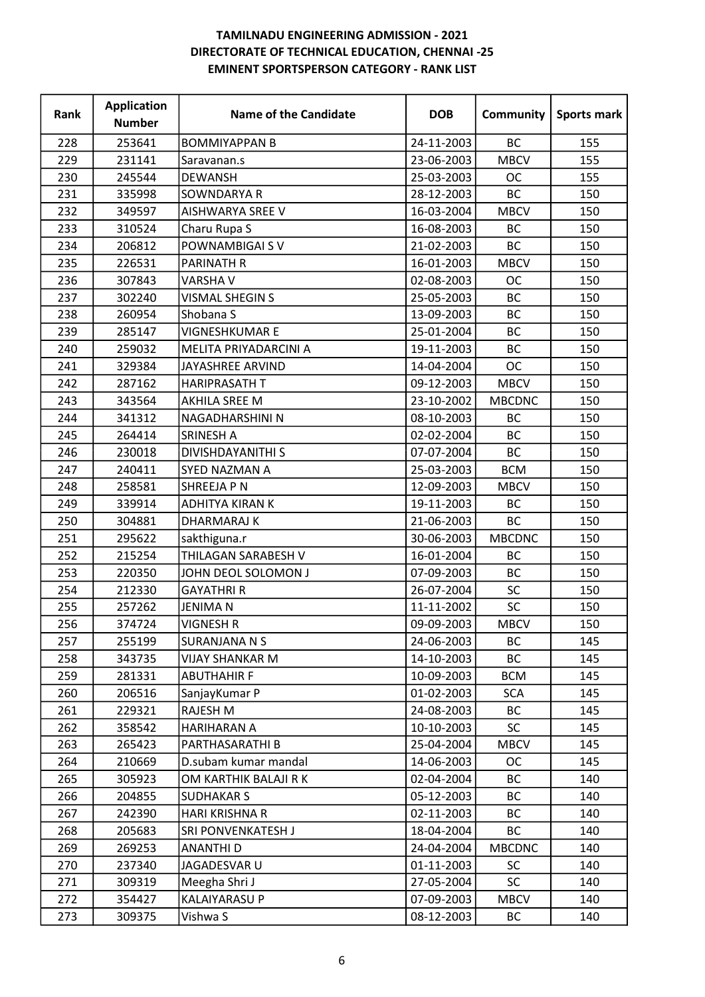| Rank | <b>Application</b><br><b>Number</b> | <b>Name of the Candidate</b> | <b>DOB</b> | Community     | Sports mark |
|------|-------------------------------------|------------------------------|------------|---------------|-------------|
| 228  | 253641                              | <b>BOMMIYAPPAN B</b>         | 24-11-2003 | <b>BC</b>     | 155         |
| 229  | 231141                              | Saravanan.s                  | 23-06-2003 | <b>MBCV</b>   | 155         |
| 230  | 245544                              | <b>DEWANSH</b>               | 25-03-2003 | <b>OC</b>     | 155         |
| 231  | 335998                              | <b>SOWNDARYA R</b>           | 28-12-2003 | <b>BC</b>     | 150         |
| 232  | 349597                              | AISHWARYA SREE V             | 16-03-2004 | <b>MBCV</b>   | 150         |
| 233  | 310524                              | Charu Rupa S                 | 16-08-2003 | <b>BC</b>     | 150         |
| 234  | 206812                              | POWNAMBIGAI SV               | 21-02-2003 | <b>BC</b>     | 150         |
| 235  | 226531                              | PARINATH R                   | 16-01-2003 | <b>MBCV</b>   | 150         |
| 236  | 307843                              | <b>VARSHA V</b>              | 02-08-2003 | <b>OC</b>     | 150         |
| 237  | 302240                              | VISMAL SHEGIN S              | 25-05-2003 | <b>BC</b>     | 150         |
| 238  | 260954                              | Shobana S                    | 13-09-2003 | BC            | 150         |
| 239  | 285147                              | <b>VIGNESHKUMAR E</b>        | 25-01-2004 | BC            | 150         |
| 240  | 259032                              | MELITA PRIYADARCINI A        | 19-11-2003 | BC            | 150         |
| 241  | 329384                              | JAYASHREE ARVIND             | 14-04-2004 | <b>OC</b>     | 150         |
| 242  | 287162                              | <b>HARIPRASATH T</b>         | 09-12-2003 | <b>MBCV</b>   | 150         |
| 243  | 343564                              | AKHILA SREE M                | 23-10-2002 | <b>MBCDNC</b> | 150         |
| 244  | 341312                              | NAGADHARSHINI N              | 08-10-2003 | BC            | 150         |
| 245  | 264414                              | <b>SRINESH A</b>             | 02-02-2004 | BC            | 150         |
| 246  | 230018                              | <b>DIVISHDAYANITHI S</b>     | 07-07-2004 | <b>BC</b>     | 150         |
| 247  | 240411                              | SYED NAZMAN A                | 25-03-2003 | <b>BCM</b>    | 150         |
| 248  | 258581                              | SHREEJA P N                  | 12-09-2003 | <b>MBCV</b>   | 150         |
| 249  | 339914                              | <b>ADHITYA KIRAN K</b>       | 19-11-2003 | <b>BC</b>     | 150         |
| 250  | 304881                              | <b>DHARMARAJ K</b>           | 21-06-2003 | <b>BC</b>     | 150         |
| 251  | 295622                              | sakthiguna.r                 | 30-06-2003 | <b>MBCDNC</b> | 150         |
| 252  | 215254                              | THILAGAN SARABESH V          | 16-01-2004 | BC            | 150         |
| 253  | 220350                              | JOHN DEOL SOLOMON J          | 07-09-2003 | <b>BC</b>     | 150         |
| 254  | 212330                              | <b>GAYATHRI R</b>            | 26-07-2004 | SC            | 150         |
| 255  | 257262                              | <b>JENIMAN</b>               | 11-11-2002 | <b>SC</b>     | 150         |
| 256  | 374724                              | <b>VIGNESH R</b>             | 09-09-2003 | <b>MBCV</b>   | 150         |
| 257  | 255199                              | SURANJANA N S                | 24-06-2003 | BC            | 145         |
| 258  | 343735                              | <b>VIJAY SHANKAR M</b>       | 14-10-2003 | BC            | 145         |
| 259  | 281331                              | <b>ABUTHAHIR F</b>           | 10-09-2003 | <b>BCM</b>    | 145         |
| 260  | 206516                              | SanjayKumar P                | 01-02-2003 | <b>SCA</b>    | 145         |
| 261  | 229321                              | RAJESH M                     | 24-08-2003 | ВC            | 145         |
| 262  | 358542                              | HARIHARAN A                  | 10-10-2003 | <b>SC</b>     | 145         |
| 263  | 265423                              | PARTHASARATHI B              | 25-04-2004 | <b>MBCV</b>   | 145         |
| 264  | 210669                              | D.subam kumar mandal         | 14-06-2003 | <b>OC</b>     | 145         |
| 265  | 305923                              | OM KARTHIK BALAJI R K        | 02-04-2004 | BC            | 140         |
| 266  | 204855                              | <b>SUDHAKAR S</b>            | 05-12-2003 | BC            | 140         |
| 267  | 242390                              | HARI KRISHNA R               | 02-11-2003 | BC            | 140         |
| 268  | 205683                              | SRI PONVENKATESH J           | 18-04-2004 | <b>BC</b>     | 140         |
| 269  | 269253                              | <b>ANANTHI D</b>             | 24-04-2004 | <b>MBCDNC</b> | 140         |
| 270  | 237340                              | JAGADESVAR U                 | 01-11-2003 | <b>SC</b>     | 140         |
| 271  | 309319                              | Meegha Shri J                | 27-05-2004 | <b>SC</b>     | 140         |
| 272  | 354427                              | KALAIYARASU P                | 07-09-2003 | <b>MBCV</b>   | 140         |
| 273  | 309375                              | Vishwa S                     | 08-12-2003 | ВC            | 140         |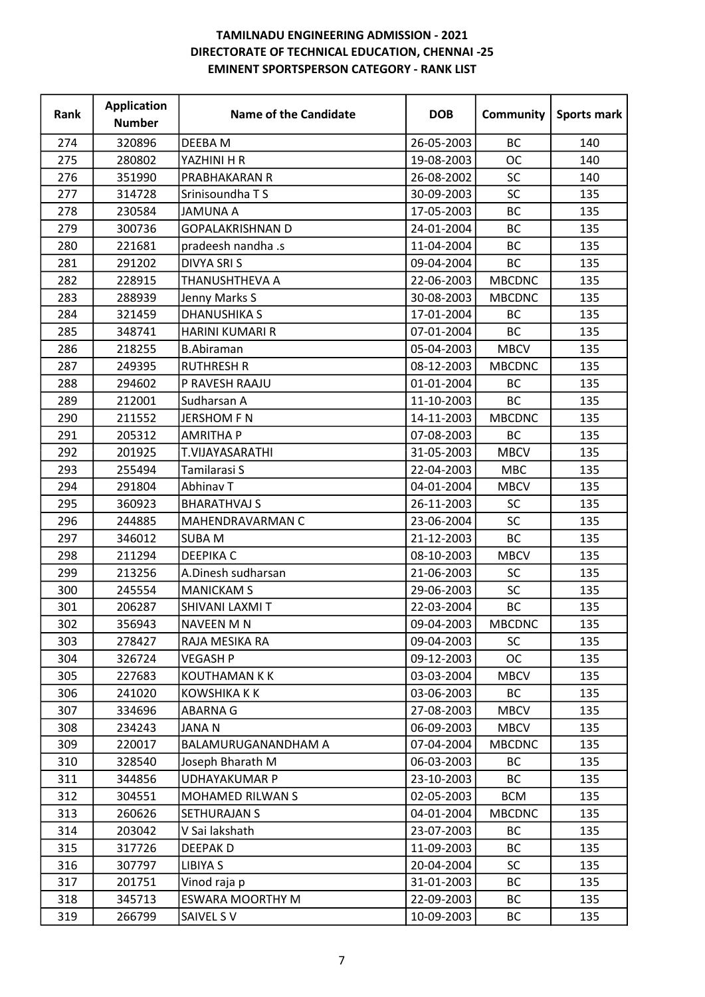| Rank | <b>Application</b><br><b>Number</b> | <b>Name of the Candidate</b> | <b>DOB</b> | Community     | Sports mark |
|------|-------------------------------------|------------------------------|------------|---------------|-------------|
| 274  | 320896                              | DEEBA M                      | 26-05-2003 | <b>BC</b>     | 140         |
| 275  | 280802                              | YAZHINI H R                  | 19-08-2003 | <b>OC</b>     | 140         |
| 276  | 351990                              | PRABHAKARAN R                | 26-08-2002 | <b>SC</b>     | 140         |
| 277  | 314728                              | Srinisoundha TS              | 30-09-2003 | SC            | 135         |
| 278  | 230584                              | <b>JAMUNA A</b>              | 17-05-2003 | <b>BC</b>     | 135         |
| 279  | 300736                              | <b>GOPALAKRISHNAN D</b>      | 24-01-2004 | <b>BC</b>     | 135         |
| 280  | 221681                              | pradeesh nandha .s           | 11-04-2004 | BC            | 135         |
| 281  | 291202                              | <b>DIVYA SRIS</b>            | 09-04-2004 | <b>BC</b>     | 135         |
| 282  | 228915                              | THANUSHTHEVA A               | 22-06-2003 | <b>MBCDNC</b> | 135         |
| 283  | 288939                              | Jenny Marks S                | 30-08-2003 | <b>MBCDNC</b> | 135         |
| 284  | 321459                              | <b>DHANUSHIKA S</b>          | 17-01-2004 | BC            | 135         |
| 285  | 348741                              | HARINI KUMARI R              | 07-01-2004 | BC            | 135         |
| 286  | 218255                              | <b>B.Abiraman</b>            | 05-04-2003 | <b>MBCV</b>   | 135         |
| 287  | 249395                              | <b>RUTHRESH R</b>            | 08-12-2003 | <b>MBCDNC</b> | 135         |
| 288  | 294602                              | P RAVESH RAAJU               | 01-01-2004 | <b>BC</b>     | 135         |
| 289  | 212001                              | Sudharsan A                  | 11-10-2003 | BC            | 135         |
| 290  | 211552                              | <b>JERSHOM F N</b>           | 14-11-2003 | <b>MBCDNC</b> | 135         |
| 291  | 205312                              | <b>AMRITHA P</b>             | 07-08-2003 | BC            | 135         |
| 292  | 201925                              | T.VIJAYASARATHI              | 31-05-2003 | <b>MBCV</b>   | 135         |
| 293  | 255494                              | Tamilarasi S                 | 22-04-2003 | <b>MBC</b>    | 135         |
| 294  | 291804                              | Abhinav T                    | 04-01-2004 | <b>MBCV</b>   | 135         |
| 295  | 360923                              | <b>BHARATHVAJ S</b>          | 26-11-2003 | <b>SC</b>     | 135         |
| 296  | 244885                              | MAHENDRAVARMAN C             | 23-06-2004 | <b>SC</b>     | 135         |
| 297  | 346012                              | <b>SUBAM</b>                 | 21-12-2003 | <b>BC</b>     | 135         |
| 298  | 211294                              | <b>DEEPIKA C</b>             | 08-10-2003 | <b>MBCV</b>   | 135         |
| 299  | 213256                              | A.Dinesh sudharsan           | 21-06-2003 | <b>SC</b>     | 135         |
| 300  | 245554                              | <b>MANICKAM S</b>            | 29-06-2003 | SC            | 135         |
| 301  | 206287                              | SHIVANI LAXMI T              | 22-03-2004 | <b>BC</b>     | 135         |
| 302  | 356943                              | NAVEEN M N                   | 09-04-2003 | <b>MBCDNC</b> | 135         |
| 303  | 278427                              | RAJA MESIKA RA               | 09-04-2003 | <b>SC</b>     | 135         |
| 304  | 326724                              | <b>VEGASH P</b>              | 09-12-2003 | OC            | 135         |
| 305  | 227683                              | <b>KOUTHAMAN K K</b>         | 03-03-2004 | <b>MBCV</b>   | 135         |
| 306  | 241020                              | KOWSHIKA K K                 | 03-06-2003 | ВC            | 135         |
| 307  | 334696                              | <b>ABARNA G</b>              | 27-08-2003 | <b>MBCV</b>   | 135         |
| 308  | 234243                              | <b>JANAN</b>                 | 06-09-2003 | <b>MBCV</b>   | 135         |
| 309  | 220017                              | BALAMURUGANANDHAM A          | 07-04-2004 | <b>MBCDNC</b> | 135         |
| 310  | 328540                              | Joseph Bharath M             | 06-03-2003 | BC            | 135         |
| 311  | 344856                              | <b>UDHAYAKUMAR P</b>         | 23-10-2003 | BC            | 135         |
| 312  | 304551                              | MOHAMED RILWAN S             | 02-05-2003 | <b>BCM</b>    | 135         |
| 313  | 260626                              | SETHURAJAN S                 | 04-01-2004 | <b>MBCDNC</b> | 135         |
| 314  | 203042                              | V Sai lakshath               | 23-07-2003 | BC            | 135         |
| 315  | 317726                              | <b>DEEPAKD</b>               | 11-09-2003 | BC            | 135         |
| 316  | 307797                              | <b>LIBIYA S</b>              | 20-04-2004 | <b>SC</b>     | 135         |
| 317  | 201751                              | Vinod raja p                 | 31-01-2003 | BC            | 135         |
| 318  | 345713                              | <b>ESWARA MOORTHY M</b>      | 22-09-2003 | BC            | 135         |
| 319  | 266799                              | SAIVEL SV                    | 10-09-2003 | ВC            | 135         |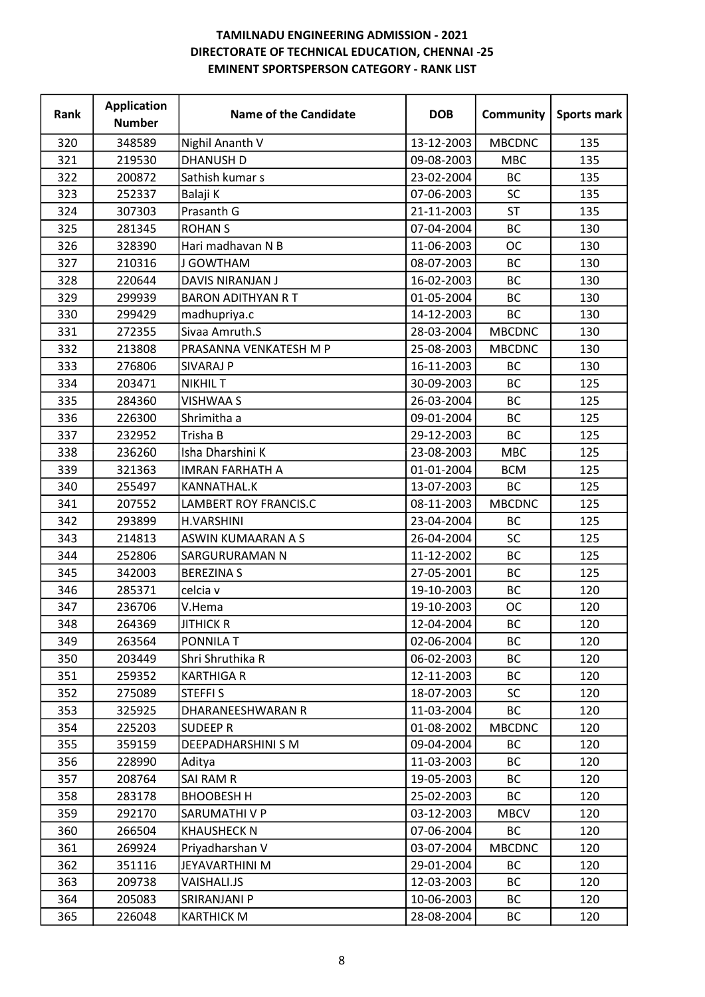| Rank | <b>Application</b><br><b>Number</b> | <b>Name of the Candidate</b> | <b>DOB</b> | Community     | <b>Sports mark</b> |
|------|-------------------------------------|------------------------------|------------|---------------|--------------------|
| 320  | 348589                              | Nighil Ananth V              | 13-12-2003 | <b>MBCDNC</b> | 135                |
| 321  | 219530                              | <b>DHANUSH D</b>             | 09-08-2003 | <b>MBC</b>    | 135                |
| 322  | 200872                              | Sathish kumar s              | 23-02-2004 | <b>BC</b>     | 135                |
| 323  | 252337                              | Balaji K                     | 07-06-2003 | SC            | 135                |
| 324  | 307303                              | Prasanth G                   | 21-11-2003 | <b>ST</b>     | 135                |
| 325  | 281345                              | <b>ROHAN S</b>               | 07-04-2004 | <b>BC</b>     | 130                |
| 326  | 328390                              | Hari madhavan N B            | 11-06-2003 | ОC            | 130                |
| 327  | 210316                              | J GOWTHAM                    | 08-07-2003 | <b>BC</b>     | 130                |
| 328  | 220644                              | DAVIS NIRANJAN J             | 16-02-2003 | <b>BC</b>     | 130                |
| 329  | 299939                              | <b>BARON ADITHYAN R T</b>    | 01-05-2004 | <b>BC</b>     | 130                |
| 330  | 299429                              | madhupriya.c                 | 14-12-2003 | BC            | 130                |
| 331  | 272355                              | Sivaa Amruth.S               | 28-03-2004 | <b>MBCDNC</b> | 130                |
| 332  | 213808                              | PRASANNA VENKATESH M P       | 25-08-2003 | <b>MBCDNC</b> | 130                |
| 333  | 276806                              | SIVARAJ P                    | 16-11-2003 | BC            | 130                |
| 334  | 203471                              | <b>NIKHIL T</b>              | 30-09-2003 | <b>BC</b>     | 125                |
| 335  | 284360                              | <b>VISHWAA S</b>             | 26-03-2004 | <b>BC</b>     | 125                |
| 336  | 226300                              | Shrimitha a                  | 09-01-2004 | BC            | 125                |
| 337  | 232952                              | Trisha B                     | 29-12-2003 | <b>BC</b>     | 125                |
| 338  | 236260                              | Isha Dharshini K             | 23-08-2003 | <b>MBC</b>    | 125                |
| 339  | 321363                              | <b>IMRAN FARHATH A</b>       | 01-01-2004 | <b>BCM</b>    | 125                |
| 340  | 255497                              | KANNATHAL.K                  | 13-07-2003 | <b>BC</b>     | 125                |
| 341  | 207552                              | <b>LAMBERT ROY FRANCIS.C</b> | 08-11-2003 | <b>MBCDNC</b> | 125                |
| 342  | 293899                              | <b>H.VARSHINI</b>            | 23-04-2004 | <b>BC</b>     | 125                |
| 343  | 214813                              | <b>ASWIN KUMAARAN A S</b>    | 26-04-2004 | <b>SC</b>     | 125                |
| 344  | 252806                              | SARGURURAMAN N               | 11-12-2002 | <b>BC</b>     | 125                |
| 345  | 342003                              | <b>BEREZINAS</b>             | 27-05-2001 | BC            | 125                |
| 346  | 285371                              | celcia v                     | 19-10-2003 | BC            | 120                |
| 347  | 236706                              | V.Hema                       | 19-10-2003 | <b>OC</b>     | 120                |
| 348  | 264369                              | <b>JITHICK R</b>             | 12-04-2004 | ВC            | 120                |
| 349  | 263564                              | <b>PONNILAT</b>              | 02-06-2004 | BC            | 120                |
| 350  | 203449                              | Shri Shruthika R             | 06-02-2003 | <b>BC</b>     | 120                |
| 351  | 259352                              | <b>KARTHIGA R</b>            | 12-11-2003 | BC            | 120                |
| 352  | 275089                              | <b>STEFFIS</b>               | 18-07-2003 | <b>SC</b>     | 120                |
| 353  | 325925                              | DHARANEESHWARAN R            | 11-03-2004 | <b>BC</b>     | 120                |
| 354  | 225203                              | <b>SUDEEP R</b>              | 01-08-2002 | <b>MBCDNC</b> | 120                |
| 355  | 359159                              | DEEPADHARSHINI S M           | 09-04-2004 | BC            | 120                |
| 356  | 228990                              | Aditya                       | 11-03-2003 | BC            | 120                |
| 357  | 208764                              | SAI RAM R                    | 19-05-2003 | BC            | 120                |
| 358  | 283178                              | <b>BHOOBESH H</b>            | 25-02-2003 | <b>BC</b>     | 120                |
| 359  | 292170                              | SARUMATHI V P                | 03-12-2003 | <b>MBCV</b>   | 120                |
| 360  | 266504                              | <b>KHAUSHECK N</b>           | 07-06-2004 | <b>BC</b>     | 120                |
| 361  | 269924                              | Priyadharshan V              | 03-07-2004 | <b>MBCDNC</b> | 120                |
| 362  | 351116                              | JEYAVARTHINI M               | 29-01-2004 | ВC            | 120                |
| 363  | 209738                              | <b>VAISHALI.JS</b>           | 12-03-2003 | BC            | 120                |
| 364  | 205083                              | SRIRANJANI P                 | 10-06-2003 | BC            | 120                |
| 365  | 226048                              | <b>KARTHICK M</b>            | 28-08-2004 | ВC            | 120                |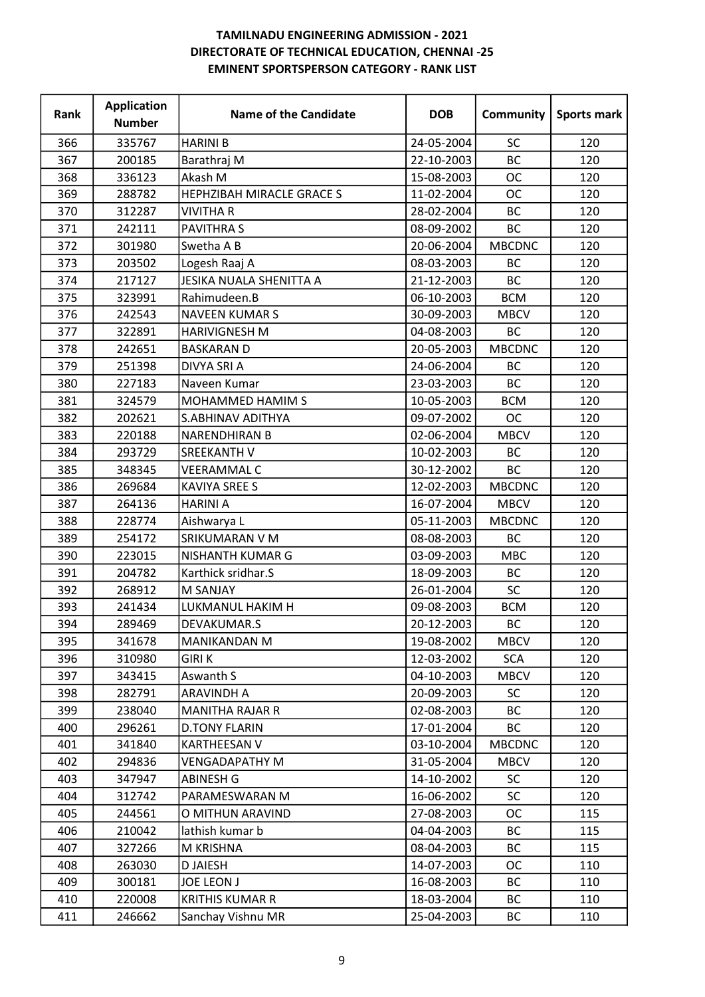| Rank | <b>Application</b><br><b>Number</b> | <b>Name of the Candidate</b> | <b>DOB</b> | Community     | <b>Sports mark</b> |
|------|-------------------------------------|------------------------------|------------|---------------|--------------------|
| 366  | 335767                              | <b>HARINI B</b>              | 24-05-2004 | SC            | 120                |
| 367  | 200185                              | Barathraj M                  | 22-10-2003 | <b>BC</b>     | 120                |
| 368  | 336123                              | Akash M                      | 15-08-2003 | <b>OC</b>     | 120                |
| 369  | 288782                              | HEPHZIBAH MIRACLE GRACE S    | 11-02-2004 | <b>OC</b>     | 120                |
| 370  | 312287                              | <b>VIVITHA R</b>             | 28-02-2004 | <b>BC</b>     | 120                |
| 371  | 242111                              | <b>PAVITHRAS</b>             | 08-09-2002 | <b>BC</b>     | 120                |
| 372  | 301980                              | Swetha A B                   | 20-06-2004 | <b>MBCDNC</b> | 120                |
| 373  | 203502                              | Logesh Raaj A                | 08-03-2003 | <b>BC</b>     | 120                |
| 374  | 217127                              | JESIKA NUALA SHENITTA A      | 21-12-2003 | <b>BC</b>     | 120                |
| 375  | 323991                              | Rahimudeen.B                 | 06-10-2003 | <b>BCM</b>    | 120                |
| 376  | 242543                              | <b>NAVEEN KUMAR S</b>        | 30-09-2003 | <b>MBCV</b>   | 120                |
| 377  | 322891                              | <b>HARIVIGNESH M</b>         | 04-08-2003 | <b>BC</b>     | 120                |
| 378  | 242651                              | <b>BASKARAN D</b>            | 20-05-2003 | <b>MBCDNC</b> | 120                |
| 379  | 251398                              | DIVYA SRI A                  | 24-06-2004 | BC            | 120                |
| 380  | 227183                              | Naveen Kumar                 | 23-03-2003 | <b>BC</b>     | 120                |
| 381  | 324579                              | MOHAMMED HAMIM S             | 10-05-2003 | <b>BCM</b>    | 120                |
| 382  | 202621                              | S.ABHINAV ADITHYA            | 09-07-2002 | <b>OC</b>     | 120                |
| 383  | 220188                              | <b>NARENDHIRAN B</b>         | 02-06-2004 | <b>MBCV</b>   | 120                |
| 384  | 293729                              | <b>SREEKANTH V</b>           | 10-02-2003 | <b>BC</b>     | 120                |
| 385  | 348345                              | <b>VEERAMMAL C</b>           | 30-12-2002 | <b>BC</b>     | 120                |
| 386  | 269684                              | <b>KAVIYA SREE S</b>         | 12-02-2003 | <b>MBCDNC</b> | 120                |
| 387  | 264136                              | <b>HARINI A</b>              | 16-07-2004 | <b>MBCV</b>   | 120                |
| 388  | 228774                              | Aishwarya L                  | 05-11-2003 | <b>MBCDNC</b> | 120                |
| 389  | 254172                              | SRIKUMARAN V M               | 08-08-2003 | BC            | 120                |
| 390  | 223015                              | NISHANTH KUMAR G             | 03-09-2003 | <b>MBC</b>    | 120                |
| 391  | 204782                              | Karthick sridhar.S           | 18-09-2003 | BC            | 120                |
| 392  | 268912                              | <b>M SANJAY</b>              | 26-01-2004 | SC            | 120                |
| 393  | 241434                              | LUKMANUL HAKIM H             | 09-08-2003 | <b>BCM</b>    | 120                |
| 394  | 289469                              | DEVAKUMAR.S                  | 20-12-2003 | BC            | 120                |
| 395  | 341678                              | <b>MANIKANDAN M</b>          | 19-08-2002 | <b>MBCV</b>   | 120                |
| 396  | 310980                              | <b>GIRIK</b>                 | 12-03-2002 | <b>SCA</b>    | 120                |
| 397  | 343415                              | Aswanth S                    | 04-10-2003 | <b>MBCV</b>   | 120                |
| 398  | 282791                              | <b>ARAVINDH A</b>            | 20-09-2003 | SC.           | 120                |
| 399  | 238040                              | <b>MANITHA RAJAR R</b>       | 02-08-2003 | <b>BC</b>     | 120                |
| 400  | 296261                              | <b>D.TONY FLARIN</b>         | 17-01-2004 | BC            | 120                |
| 401  | 341840                              | <b>KARTHEESAN V</b>          | 03-10-2004 | <b>MBCDNC</b> | 120                |
| 402  | 294836                              | <b>VENGADAPATHY M</b>        | 31-05-2004 | <b>MBCV</b>   | 120                |
| 403  | 347947                              | <b>ABINESH G</b>             | 14-10-2002 | <b>SC</b>     | 120                |
| 404  | 312742                              | PARAMESWARAN M               | 16-06-2002 | <b>SC</b>     | 120                |
| 405  | 244561                              | O MITHUN ARAVIND             | 27-08-2003 | <b>OC</b>     | 115                |
| 406  | 210042                              | lathish kumar b              | 04-04-2003 | <b>BC</b>     | 115                |
| 407  | 327266                              | M KRISHNA                    | 08-04-2003 | ВC            | 115                |
| 408  | 263030                              | <b>DJAIESH</b>               | 14-07-2003 | ОC            | 110                |
| 409  | 300181                              | <b>JOE LEON J</b>            | 16-08-2003 | BC            | 110                |
| 410  | 220008                              | <b>KRITHIS KUMAR R</b>       | 18-03-2004 | BC            | 110                |
| 411  | 246662                              | Sanchay Vishnu MR            | 25-04-2003 | BC            | 110                |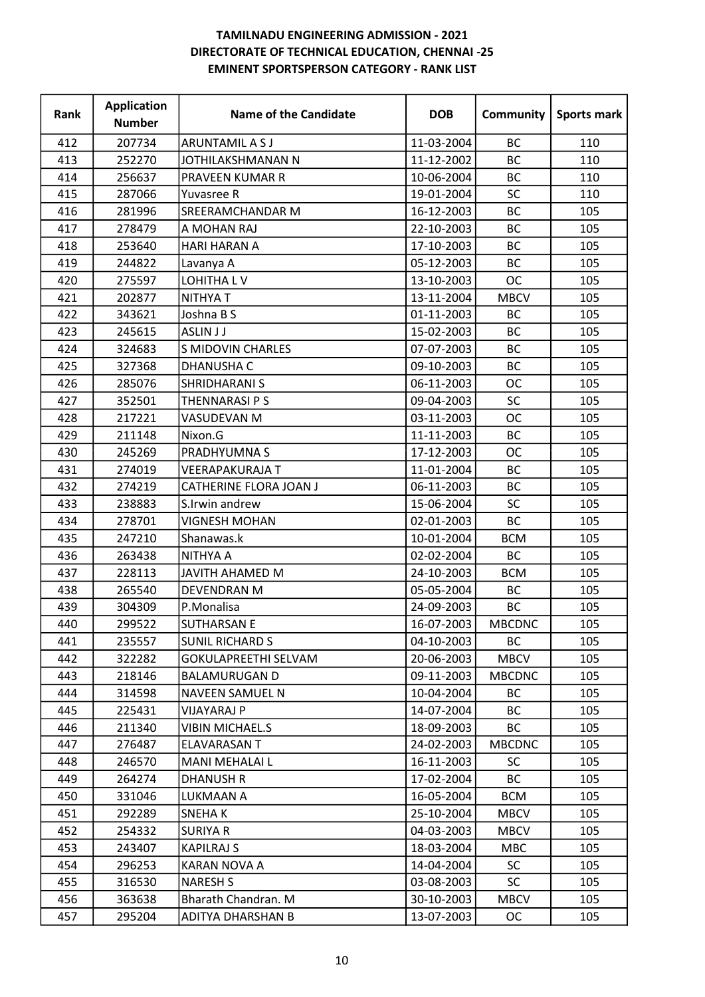| Rank | <b>Application</b><br><b>Number</b> | <b>Name of the Candidate</b> | <b>DOB</b> | Community     | Sports mark |
|------|-------------------------------------|------------------------------|------------|---------------|-------------|
| 412  | 207734                              | ARUNTAMIL A S J              | 11-03-2004 | <b>BC</b>     | 110         |
| 413  | 252270                              | JOTHILAKSHMANAN N            | 11-12-2002 | <b>BC</b>     | 110         |
| 414  | 256637                              | PRAVEEN KUMAR R              | 10-06-2004 | <b>BC</b>     | 110         |
| 415  | 287066                              | Yuvasree R                   | 19-01-2004 | SC            | 110         |
| 416  | 281996                              | SREERAMCHANDAR M             | 16-12-2003 | <b>BC</b>     | 105         |
| 417  | 278479                              | A MOHAN RAJ                  | 22-10-2003 | <b>BC</b>     | 105         |
| 418  | 253640                              | <b>HARI HARAN A</b>          | 17-10-2003 | BC            | 105         |
| 419  | 244822                              | Lavanya A                    | 05-12-2003 | <b>BC</b>     | 105         |
| 420  | 275597                              | LOHITHA LV                   | 13-10-2003 | <b>OC</b>     | 105         |
| 421  | 202877                              | NITHYA T                     | 13-11-2004 | <b>MBCV</b>   | 105         |
| 422  | 343621                              | Joshna B S                   | 01-11-2003 | BC            | 105         |
| 423  | 245615                              | <b>ASLIN JJ</b>              | 15-02-2003 | <b>BC</b>     | 105         |
| 424  | 324683                              | <b>S MIDOVIN CHARLES</b>     | 07-07-2003 | BC            | 105         |
| 425  | 327368                              | <b>DHANUSHA C</b>            | 09-10-2003 | BC            | 105         |
| 426  | 285076                              | SHRIDHARANI S                | 06-11-2003 | <b>OC</b>     | 105         |
| 427  | 352501                              | THENNARASI P S               | 09-04-2003 | SC            | 105         |
| 428  | 217221                              | VASUDEVAN M                  | 03-11-2003 | <b>OC</b>     | 105         |
| 429  | 211148                              | Nixon.G                      | 11-11-2003 | <b>BC</b>     | 105         |
| 430  | 245269                              | PRADHYUMNA S                 | 17-12-2003 | <b>OC</b>     | 105         |
| 431  | 274019                              | <b>VEERAPAKURAJA T</b>       | 11-01-2004 | BC            | 105         |
| 432  | 274219                              | CATHERINE FLORA JOAN J       | 06-11-2003 | <b>BC</b>     | 105         |
| 433  | 238883                              | S.Irwin andrew               | 15-06-2004 | <b>SC</b>     | 105         |
| 434  | 278701                              | <b>VIGNESH MOHAN</b>         | 02-01-2003 | <b>BC</b>     | 105         |
| 435  | 247210                              | Shanawas.k                   | 10-01-2004 | <b>BCM</b>    | 105         |
| 436  | 263438                              | NITHYA A                     | 02-02-2004 | BC            | 105         |
| 437  | 228113                              | <b>JAVITH AHAMED M</b>       | 24-10-2003 | <b>BCM</b>    | 105         |
| 438  | 265540                              | <b>DEVENDRAN M</b>           | 05-05-2004 | BC            | 105         |
| 439  | 304309                              | P.Monalisa                   | 24-09-2003 | <b>BC</b>     | 105         |
| 440  | 299522                              | <b>SUTHARSAN E</b>           | 16-07-2003 | <b>MBCDNC</b> | 105         |
| 441  | 235557                              | <b>SUNIL RICHARD S</b>       | 04-10-2003 | BC            | 105         |
| 442  | 322282                              | GOKULAPREETHI SELVAM         | 20-06-2003 | <b>MBCV</b>   | 105         |
| 443  | 218146                              | <b>BALAMURUGAN D</b>         | 09-11-2003 | <b>MBCDNC</b> | 105         |
| 444  | 314598                              | NAVEEN SAMUEL N              | 10-04-2004 | BC            | 105         |
| 445  | 225431                              | <b>VIJAYARAJ P</b>           | 14-07-2004 | <b>BC</b>     | 105         |
| 446  | 211340                              | <b>VIBIN MICHAEL.S</b>       | 18-09-2003 | BC            | 105         |
| 447  | 276487                              | ELAVARASAN T                 | 24-02-2003 | <b>MBCDNC</b> | 105         |
| 448  | 246570                              | MANI MEHALAI L               | 16-11-2003 | <b>SC</b>     | 105         |
| 449  | 264274                              | <b>DHANUSH R</b>             | 17-02-2004 | BC            | 105         |
| 450  | 331046                              | LUKMAAN A                    | 16-05-2004 | <b>BCM</b>    | 105         |
| 451  | 292289                              | SNEHA K                      | 25-10-2004 | <b>MBCV</b>   | 105         |
| 452  | 254332                              | <b>SURIYA R</b>              | 04-03-2003 | <b>MBCV</b>   | 105         |
| 453  | 243407                              | <b>KAPILRAJ S</b>            | 18-03-2004 | <b>MBC</b>    | 105         |
| 454  | 296253                              | KARAN NOVA A                 | 14-04-2004 | SC.           | 105         |
| 455  | 316530                              | <b>NARESH S</b>              | 03-08-2003 | <b>SC</b>     | 105         |
| 456  | 363638                              | Bharath Chandran. M          | 30-10-2003 | <b>MBCV</b>   | 105         |
| 457  | 295204                              | ADITYA DHARSHAN B            | 13-07-2003 | <b>OC</b>     | 105         |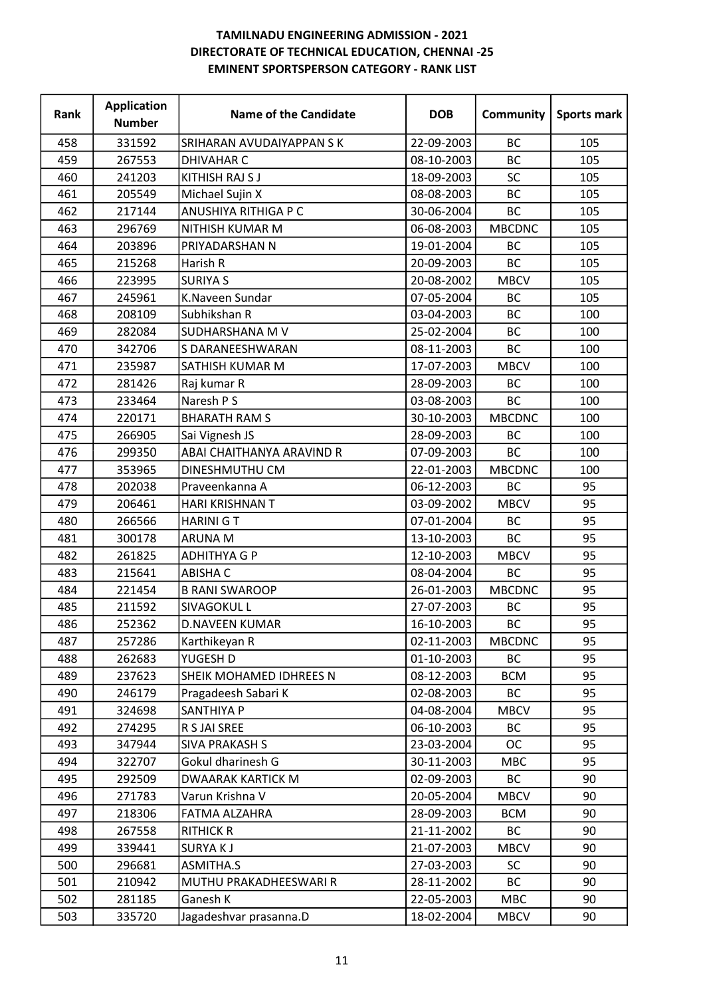| Rank | <b>Application</b><br><b>Number</b> | <b>Name of the Candidate</b>    | <b>DOB</b> | Community     | Sports mark |
|------|-------------------------------------|---------------------------------|------------|---------------|-------------|
| 458  | 331592                              | <b>SRIHARAN AVUDAIYAPPAN SK</b> | 22-09-2003 | <b>BC</b>     | 105         |
| 459  | 267553                              | <b>DHIVAHAR C</b>               | 08-10-2003 | <b>BC</b>     | 105         |
| 460  | 241203                              | KITHISH RAJ S J                 | 18-09-2003 | <b>SC</b>     | 105         |
| 461  | 205549                              | Michael Sujin X                 | 08-08-2003 | <b>BC</b>     | 105         |
| 462  | 217144                              | ANUSHIYA RITHIGA P C            | 30-06-2004 | <b>BC</b>     | 105         |
| 463  | 296769                              | NITHISH KUMAR M                 | 06-08-2003 | <b>MBCDNC</b> | 105         |
| 464  | 203896                              | PRIYADARSHAN N                  | 19-01-2004 | <b>BC</b>     | 105         |
| 465  | 215268                              | Harish R                        | 20-09-2003 | <b>BC</b>     | 105         |
| 466  | 223995                              | <b>SURIYA S</b>                 | 20-08-2002 | <b>MBCV</b>   | 105         |
| 467  | 245961                              | K.Naveen Sundar                 | 07-05-2004 | <b>BC</b>     | 105         |
| 468  | 208109                              | Subhikshan R                    | 03-04-2003 | <b>BC</b>     | 100         |
| 469  | 282084                              | SUDHARSHANA M V                 | 25-02-2004 | <b>BC</b>     | 100         |
| 470  | 342706                              | S DARANEESHWARAN                | 08-11-2003 | <b>BC</b>     | 100         |
| 471  | 235987                              | SATHISH KUMAR M                 | 17-07-2003 | <b>MBCV</b>   | 100         |
| 472  | 281426                              | Raj kumar R                     | 28-09-2003 | BC            | 100         |
| 473  | 233464                              | Naresh P S                      | 03-08-2003 | <b>BC</b>     | 100         |
| 474  | 220171                              | <b>BHARATH RAM S</b>            | 30-10-2003 | <b>MBCDNC</b> | 100         |
| 475  | 266905                              | Sai Vignesh JS                  | 28-09-2003 | BC            | 100         |
| 476  | 299350                              | ABAI CHAITHANYA ARAVIND R       | 07-09-2003 | <b>BC</b>     | 100         |
| 477  | 353965                              | DINESHMUTHU CM                  | 22-01-2003 | <b>MBCDNC</b> | 100         |
| 478  | 202038                              | Praveenkanna A                  | 06-12-2003 | <b>BC</b>     | 95          |
| 479  | 206461                              | HARI KRISHNAN T                 | 03-09-2002 | <b>MBCV</b>   | 95          |
| 480  | 266566                              | <b>HARINI GT</b>                | 07-01-2004 | BC            | 95          |
| 481  | 300178                              | <b>ARUNA M</b>                  | 13-10-2003 | <b>BC</b>     | 95          |
| 482  | 261825                              | <b>ADHITHYA G P</b>             | 12-10-2003 | <b>MBCV</b>   | 95          |
| 483  | 215641                              | <b>ABISHA C</b>                 | 08-04-2004 | <b>BC</b>     | 95          |
| 484  | 221454                              | <b>B RANI SWAROOP</b>           | 26-01-2003 | <b>MBCDNC</b> | 95          |
| 485  | 211592                              | SIVAGOKUL L                     | 27-07-2003 | <b>BC</b>     | 95          |
| 486  | 252362                              | <b>D.NAVEEN KUMAR</b>           | 16-10-2003 | BC            | 95          |
| 487  | 257286                              | Karthikeyan R                   | 02-11-2003 | <b>MBCDNC</b> | 95          |
| 488  | 262683                              | YUGESH D                        | 01-10-2003 | <b>BC</b>     | 95          |
| 489  | 237623                              | SHEIK MOHAMED IDHREES N         | 08-12-2003 | <b>BCM</b>    | 95          |
| 490  | 246179                              | Pragadeesh Sabari K             | 02-08-2003 | BC            | 95          |
| 491  | 324698                              | SANTHIYA P                      | 04-08-2004 | <b>MBCV</b>   | 95          |
| 492  | 274295                              | R S JAI SREE                    | 06-10-2003 | BC            | 95          |
| 493  | 347944                              | <b>SIVA PRAKASH S</b>           | 23-03-2004 | <b>OC</b>     | 95          |
| 494  | 322707                              | Gokul dharinesh G               | 30-11-2003 | <b>MBC</b>    | 95          |
| 495  | 292509                              | <b>DWAARAK KARTICK M</b>        | 02-09-2003 | <b>BC</b>     | 90          |
| 496  | 271783                              | Varun Krishna V                 | 20-05-2004 | <b>MBCV</b>   | 90          |
| 497  | 218306                              | FATMA ALZAHRA                   | 28-09-2003 | <b>BCM</b>    | 90          |
| 498  | 267558                              | <b>RITHICK R</b>                | 21-11-2002 | <b>BC</b>     | 90          |
| 499  | 339441                              | <b>SURYAKJ</b>                  | 21-07-2003 | <b>MBCV</b>   | 90          |
| 500  | 296681                              | ASMITHA.S                       | 27-03-2003 | <b>SC</b>     | 90          |
| 501  | 210942                              | MUTHU PRAKADHEESWARI R          | 28-11-2002 | BC            | 90          |
| 502  | 281185                              | Ganesh K                        | 22-05-2003 | <b>MBC</b>    | 90          |
| 503  | 335720                              | Jagadeshvar prasanna.D          | 18-02-2004 | <b>MBCV</b>   | 90          |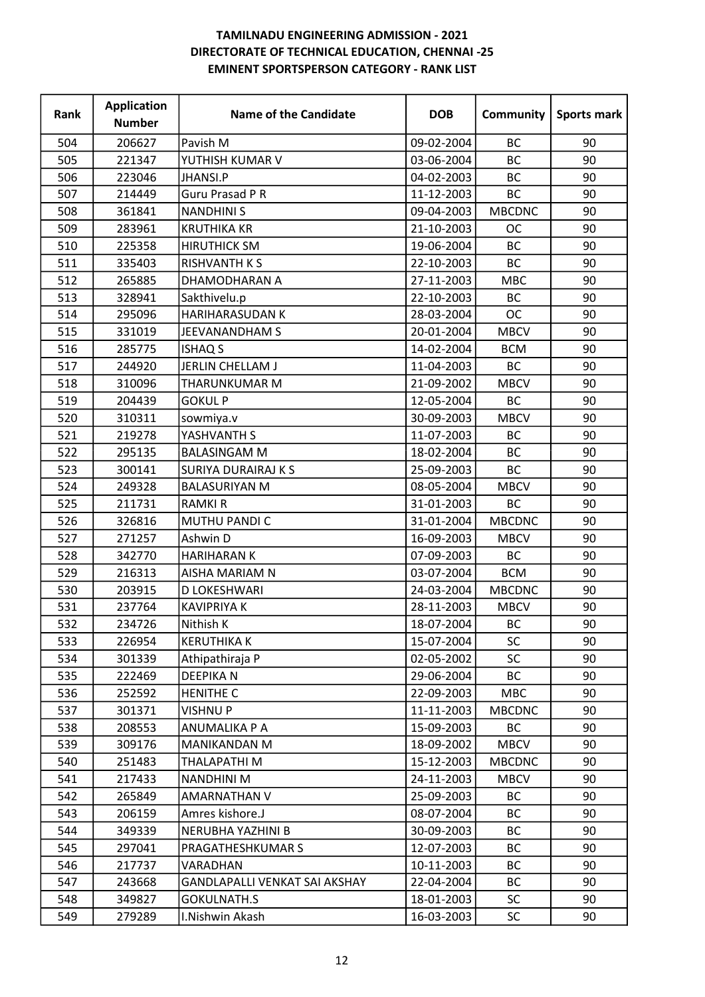| Rank | <b>Application</b><br><b>Number</b> | <b>Name of the Candidate</b>  | <b>DOB</b> | Community     | Sports mark |
|------|-------------------------------------|-------------------------------|------------|---------------|-------------|
| 504  | 206627                              | Pavish M                      | 09-02-2004 | <b>BC</b>     | 90          |
| 505  | 221347                              | YUTHISH KUMAR V               | 03-06-2004 | <b>BC</b>     | 90          |
| 506  | 223046                              | <b>JHANSI.P</b>               | 04-02-2003 | <b>BC</b>     | 90          |
| 507  | 214449                              | <b>Guru Prasad P R</b>        | 11-12-2003 | BC            | 90          |
| 508  | 361841                              | <b>NANDHINI S</b>             | 09-04-2003 | <b>MBCDNC</b> | 90          |
| 509  | 283961                              | <b>KRUTHIKA KR</b>            | 21-10-2003 | <b>OC</b>     | 90          |
| 510  | 225358                              | <b>HIRUTHICK SM</b>           | 19-06-2004 | BC            | 90          |
| 511  | 335403                              | <b>RISHVANTH K S</b>          | 22-10-2003 | <b>BC</b>     | 90          |
| 512  | 265885                              | DHAMODHARAN A                 | 27-11-2003 | <b>MBC</b>    | 90          |
| 513  | 328941                              | Sakthivelu.p                  | 22-10-2003 | <b>BC</b>     | 90          |
| 514  | 295096                              | <b>HARIHARASUDAN K</b>        | 28-03-2004 | <b>OC</b>     | 90          |
| 515  | 331019                              | <b>JEEVANANDHAM S</b>         | 20-01-2004 | <b>MBCV</b>   | 90          |
| 516  | 285775                              | <b>ISHAQ S</b>                | 14-02-2004 | <b>BCM</b>    | 90          |
| 517  | 244920                              | JERLIN CHELLAM J              | 11-04-2003 | <b>BC</b>     | 90          |
| 518  | 310096                              | THARUNKUMAR M                 | 21-09-2002 | <b>MBCV</b>   | 90          |
| 519  | 204439                              | <b>GOKUL P</b>                | 12-05-2004 | <b>BC</b>     | 90          |
| 520  | 310311                              | sowmiya.v                     | 30-09-2003 | <b>MBCV</b>   | 90          |
| 521  | 219278                              | YASHVANTH S                   | 11-07-2003 | <b>BC</b>     | 90          |
| 522  | 295135                              | <b>BALASINGAM M</b>           | 18-02-2004 | BC            | 90          |
| 523  | 300141                              | <b>SURIYA DURAIRAJ K S</b>    | 25-09-2003 | <b>BC</b>     | 90          |
| 524  | 249328                              | <b>BALASURIYAN M</b>          | 08-05-2004 | <b>MBCV</b>   | 90          |
| 525  | 211731                              | <b>RAMKIR</b>                 | 31-01-2003 | BC            | 90          |
| 526  | 326816                              | MUTHU PANDI C                 | 31-01-2004 | <b>MBCDNC</b> | 90          |
| 527  | 271257                              | Ashwin D                      | 16-09-2003 | <b>MBCV</b>   | 90          |
| 528  | 342770                              | <b>HARIHARAN K</b>            | 07-09-2003 | BC            | 90          |
| 529  | 216313                              | AISHA MARIAM N                | 03-07-2004 | <b>BCM</b>    | 90          |
| 530  | 203915                              | D LOKESHWARI                  | 24-03-2004 | <b>MBCDNC</b> | 90          |
| 531  | 237764                              | <b>KAVIPRIYA K</b>            | 28-11-2003 | <b>MBCV</b>   | 90          |
| 532  | 234726                              | Nithish K                     | 18-07-2004 | BC            | 90          |
| 533  | 226954                              | <b>KERUTHIKA K</b>            | 15-07-2004 | <b>SC</b>     | 90          |
| 534  | 301339                              | Athipathiraja P               | 02-05-2002 | <b>SC</b>     | 90          |
| 535  | 222469                              | <b>DEEPIKAN</b>               | 29-06-2004 | <b>BC</b>     | 90          |
| 536  | 252592                              | <b>HENITHE C</b>              | 22-09-2003 | <b>MBC</b>    | 90          |
| 537  | 301371                              | <b>VISHNUP</b>                | 11-11-2003 | <b>MBCDNC</b> | 90          |
| 538  | 208553                              | ANUMALIKA P A                 | 15-09-2003 | BC            | 90          |
| 539  | 309176                              | <b>MANIKANDAN M</b>           | 18-09-2002 | <b>MBCV</b>   | 90          |
| 540  | 251483                              | THALAPATHI M                  | 15-12-2003 | <b>MBCDNC</b> | 90          |
| 541  | 217433                              | <b>NANDHINI M</b>             | 24-11-2003 | <b>MBCV</b>   | 90          |
| 542  | 265849                              | AMARNATHAN V                  | 25-09-2003 | BC            | 90          |
| 543  | 206159                              | Amres kishore.J               | 08-07-2004 | BC            | 90          |
| 544  | 349339                              | NERUBHA YAZHINI B             | 30-09-2003 | <b>BC</b>     | 90          |
| 545  | 297041                              | PRAGATHESHKUMAR S             | 12-07-2003 | ВC            | 90          |
| 546  | 217737                              | VARADHAN                      | 10-11-2003 | ВC            | 90          |
| 547  | 243668                              | GANDLAPALLI VENKAT SAI AKSHAY | 22-04-2004 | BC            | 90          |
| 548  | 349827                              | <b>GOKULNATH.S</b>            | 18-01-2003 | SC.           | 90          |
| 549  | 279289                              | I.Nishwin Akash               | 16-03-2003 | <b>SC</b>     | 90          |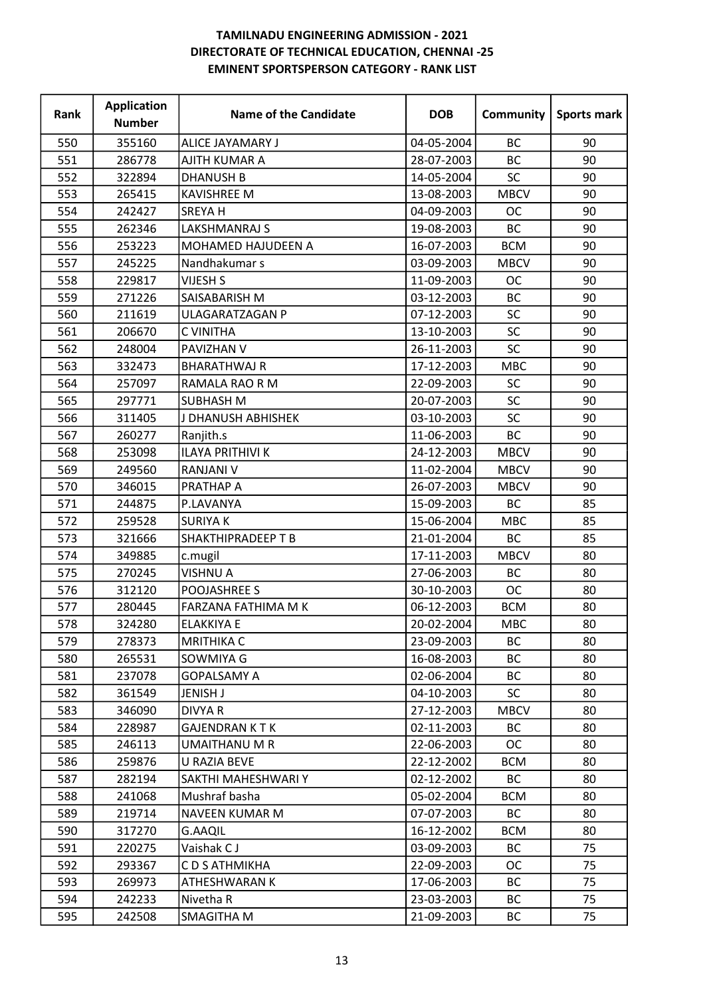| Rank | <b>Application</b><br><b>Number</b> | <b>Name of the Candidate</b> | <b>DOB</b> | Community   | Sports mark |
|------|-------------------------------------|------------------------------|------------|-------------|-------------|
| 550  | 355160                              | ALICE JAYAMARY J             | 04-05-2004 | <b>BC</b>   | 90          |
| 551  | 286778                              | AJITH KUMAR A                | 28-07-2003 | <b>BC</b>   | 90          |
| 552  | 322894                              | <b>DHANUSH B</b>             | 14-05-2004 | SC          | 90          |
| 553  | 265415                              | <b>KAVISHREE M</b>           | 13-08-2003 | <b>MBCV</b> | 90          |
| 554  | 242427                              | <b>SREYAH</b>                | 04-09-2003 | <b>OC</b>   | 90          |
| 555  | 262346                              | <b>LAKSHMANRAJ S</b>         | 19-08-2003 | <b>BC</b>   | 90          |
| 556  | 253223                              | MOHAMED HAJUDEEN A           | 16-07-2003 | <b>BCM</b>  | 90          |
| 557  | 245225                              | Nandhakumar s                | 03-09-2003 | <b>MBCV</b> | 90          |
| 558  | 229817                              | <b>VIJESH S</b>              | 11-09-2003 | <b>OC</b>   | 90          |
| 559  | 271226                              | SAISABARISH M                | 03-12-2003 | <b>BC</b>   | 90          |
| 560  | 211619                              | ULAGARATZAGAN P              | 07-12-2003 | SC          | 90          |
| 561  | 206670                              | C VINITHA                    | 13-10-2003 | <b>SC</b>   | 90          |
| 562  | 248004                              | PAVIZHAN V                   | 26-11-2003 | SC          | 90          |
| 563  | 332473                              | <b>BHARATHWAJ R</b>          | 17-12-2003 | <b>MBC</b>  | 90          |
| 564  | 257097                              | RAMALA RAO R M               | 22-09-2003 | <b>SC</b>   | 90          |
| 565  | 297771                              | <b>SUBHASH M</b>             | 20-07-2003 | SC          | 90          |
| 566  | 311405                              | J DHANUSH ABHISHEK           | 03-10-2003 | SC          | 90          |
| 567  | 260277                              | Ranjith.s                    | 11-06-2003 | <b>BC</b>   | 90          |
| 568  | 253098                              | <b>ILAYA PRITHIVI K</b>      | 24-12-2003 | <b>MBCV</b> | 90          |
| 569  | 249560                              | <b>RANJANI V</b>             | 11-02-2004 | <b>MBCV</b> | 90          |
| 570  | 346015                              | PRATHAP A                    | 26-07-2003 | <b>MBCV</b> | 90          |
| 571  | 244875                              | P.LAVANYA                    | 15-09-2003 | <b>BC</b>   | 85          |
| 572  | 259528                              | <b>SURIYAK</b>               | 15-06-2004 | <b>MBC</b>  | 85          |
| 573  | 321666                              | <b>SHAKTHIPRADEEP T B</b>    | 21-01-2004 | <b>BC</b>   | 85          |
| 574  | 349885                              | c.mugil                      | 17-11-2003 | <b>MBCV</b> | 80          |
| 575  | 270245                              | <b>VISHNU A</b>              | 27-06-2003 | BC          | 80          |
| 576  | 312120                              | <b>POOJASHREE S</b>          | 30-10-2003 | <b>OC</b>   | 80          |
| 577  | 280445                              | FARZANA FATHIMA M K          | 06-12-2003 | <b>BCM</b>  | 80          |
| 578  | 324280                              | <b>ELAKKIYA E</b>            | 20-02-2004 | <b>MBC</b>  | 80          |
| 579  | 278373                              | MRITHIKA C                   | 23-09-2003 | BC.         | 80          |
| 580  | 265531                              | SOWMIYA G                    | 16-08-2003 | BC          | 80          |
| 581  | 237078                              | <b>GOPALSAMY A</b>           | 02-06-2004 | BC          | 80          |
| 582  | 361549                              | JENISH J                     | 04-10-2003 | <b>SC</b>   | 80          |
| 583  | 346090                              | <b>DIVYA R</b>               | 27-12-2003 | <b>MBCV</b> | 80          |
| 584  | 228987                              | <b>GAJENDRAN KTK</b>         | 02-11-2003 | BC          | 80          |
| 585  | 246113                              | <b>UMAITHANU M R</b>         | 22-06-2003 | <b>OC</b>   | 80          |
| 586  | 259876                              | <b>U RAZIA BEVE</b>          | 22-12-2002 | <b>BCM</b>  | 80          |
| 587  | 282194                              | SAKTHI MAHESHWARI Y          | 02-12-2002 | ВC          | 80          |
| 588  | 241068                              | Mushraf basha                | 05-02-2004 | <b>BCM</b>  | 80          |
| 589  | 219714                              | NAVEEN KUMAR M               | 07-07-2003 | ВC          | 80          |
| 590  | 317270                              | <b>G.AAQIL</b>               | 16-12-2002 | <b>BCM</b>  | 80          |
| 591  | 220275                              | Vaishak CJ                   | 03-09-2003 | ВC          | 75          |
| 592  | 293367                              | C D S ATHMIKHA               | 22-09-2003 | ОC          | 75          |
| 593  | 269973                              | ATHESHWARAN K                | 17-06-2003 | BC          | 75          |
| 594  | 242233                              | Nivetha R                    | 23-03-2003 | BC          | 75          |
| 595  | 242508                              | SMAGITHA M                   | 21-09-2003 | ВC          | 75          |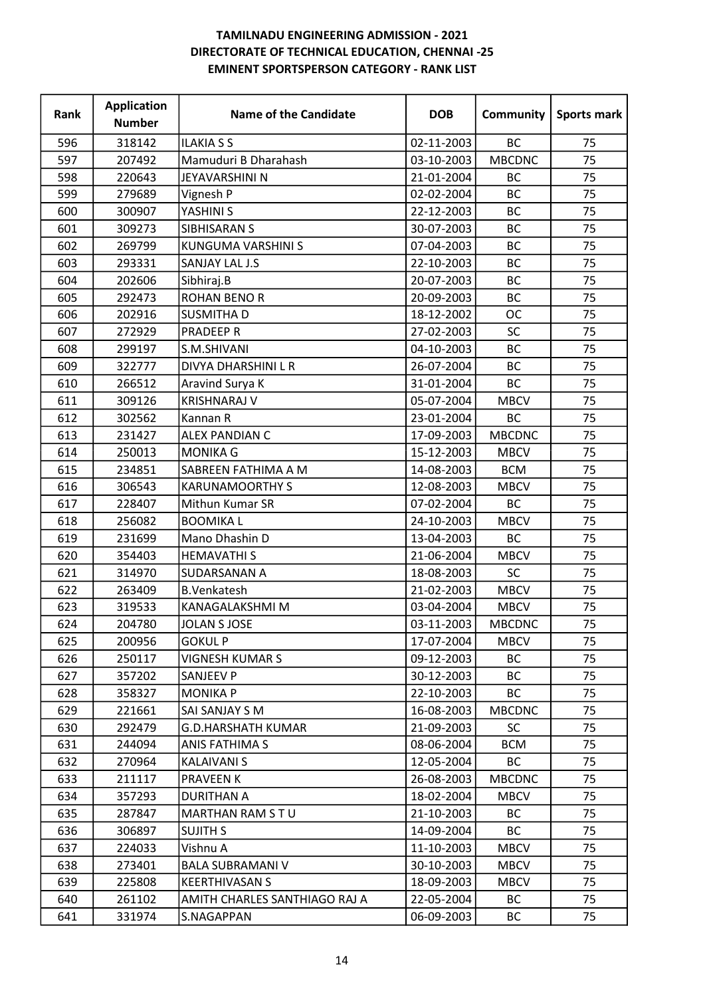| Rank | <b>Application</b><br><b>Number</b> | <b>Name of the Candidate</b>  | <b>DOB</b> | Community     | Sports mark |
|------|-------------------------------------|-------------------------------|------------|---------------|-------------|
| 596  | 318142                              | <b>ILAKIA S S</b>             | 02-11-2003 | <b>BC</b>     | 75          |
| 597  | 207492                              | Mamuduri B Dharahash          | 03-10-2003 | <b>MBCDNC</b> | 75          |
| 598  | 220643                              | JEYAVARSHINI N                | 21-01-2004 | <b>BC</b>     | 75          |
| 599  | 279689                              | Vignesh P                     | 02-02-2004 | BC            | 75          |
| 600  | 300907                              | YASHINI S                     | 22-12-2003 | <b>BC</b>     | 75          |
| 601  | 309273                              | <b>SIBHISARAN S</b>           | 30-07-2003 | <b>BC</b>     | 75          |
| 602  | 269799                              | KUNGUMA VARSHINI S            | 07-04-2003 | BC            | 75          |
| 603  | 293331                              | SANJAY LAL J.S                | 22-10-2003 | <b>BC</b>     | 75          |
| 604  | 202606                              | Sibhiraj.B                    | 20-07-2003 | BC            | 75          |
| 605  | 292473                              | <b>ROHAN BENO R</b>           | 20-09-2003 | BC            | 75          |
| 606  | 202916                              | <b>SUSMITHAD</b>              | 18-12-2002 | <b>OC</b>     | 75          |
| 607  | 272929                              | <b>PRADEEP R</b>              | 27-02-2003 | <b>SC</b>     | 75          |
| 608  | 299197                              | S.M.SHIVANI                   | 04-10-2003 | BC            | 75          |
| 609  | 322777                              | DIVYA DHARSHINI L R           | 26-07-2004 | <b>BC</b>     | 75          |
| 610  | 266512                              | Aravind Surya K               | 31-01-2004 | <b>BC</b>     | 75          |
| 611  | 309126                              | <b>KRISHNARAJ V</b>           | 05-07-2004 | <b>MBCV</b>   | 75          |
| 612  | 302562                              | Kannan R                      | 23-01-2004 | <b>BC</b>     | 75          |
| 613  | 231427                              | <b>ALEX PANDIAN C</b>         | 17-09-2003 | <b>MBCDNC</b> | 75          |
| 614  | 250013                              | <b>MONIKA G</b>               | 15-12-2003 | <b>MBCV</b>   | 75          |
| 615  | 234851                              | SABREEN FATHIMA A M           | 14-08-2003 | <b>BCM</b>    | 75          |
| 616  | 306543                              | <b>KARUNAMOORTHY S</b>        | 12-08-2003 | <b>MBCV</b>   | 75          |
| 617  | 228407                              | Mithun Kumar SR               | 07-02-2004 | BC            | 75          |
| 618  | 256082                              | <b>BOOMIKAL</b>               | 24-10-2003 | <b>MBCV</b>   | 75          |
| 619  | 231699                              | Mano Dhashin D                | 13-04-2003 | <b>BC</b>     | 75          |
| 620  | 354403                              | <b>HEMAVATHIS</b>             | 21-06-2004 | <b>MBCV</b>   | 75          |
| 621  | 314970                              | SUDARSANAN A                  | 18-08-2003 | <b>SC</b>     | 75          |
| 622  | 263409                              | <b>B.Venkatesh</b>            | 21-02-2003 | <b>MBCV</b>   | 75          |
| 623  | 319533                              | KANAGALAKSHMI M               | 03-04-2004 | <b>MBCV</b>   | 75          |
| 624  | 204780                              | JOLAN S JOSE                  | 03-11-2003 | <b>MBCDNC</b> | 75          |
| 625  | 200956                              | <b>GOKUL P</b>                | 17-07-2004 | <b>MBCV</b>   | 75          |
| 626  | 250117                              | <b>VIGNESH KUMAR S</b>        | 09-12-2003 | BC            | 75          |
| 627  | 357202                              | <b>SANJEEV P</b>              | 30-12-2003 | <b>BC</b>     | 75          |
| 628  | 358327                              | <b>MONIKA P</b>               | 22-10-2003 | ВC            | 75          |
| 629  | 221661                              | SAI SANJAY S M                | 16-08-2003 | <b>MBCDNC</b> | 75          |
| 630  | 292479                              | <b>G.D.HARSHATH KUMAR</b>     | 21-09-2003 | <b>SC</b>     | 75          |
| 631  | 244094                              | <b>ANIS FATHIMA S</b>         | 08-06-2004 | <b>BCM</b>    | 75          |
| 632  | 270964                              | <b>KALAIVANI S</b>            | 12-05-2004 | ВC            | 75          |
| 633  | 211117                              | <b>PRAVEEN K</b>              | 26-08-2003 | <b>MBCDNC</b> | 75          |
| 634  | 357293                              | <b>DURITHAN A</b>             | 18-02-2004 | <b>MBCV</b>   | 75          |
| 635  | 287847                              | MARTHAN RAM S T U             | 21-10-2003 | BC            | 75          |
| 636  | 306897                              | <b>SUJITH S</b>               | 14-09-2004 | <b>BC</b>     | 75          |
| 637  | 224033                              | Vishnu A                      | 11-10-2003 | <b>MBCV</b>   | 75          |
| 638  | 273401                              | <b>BALA SUBRAMANI V</b>       | 30-10-2003 | <b>MBCV</b>   | 75          |
| 639  | 225808                              | KEERTHIVASAN S                | 18-09-2003 | <b>MBCV</b>   | 75          |
| 640  | 261102                              | AMITH CHARLES SANTHIAGO RAJ A | 22-05-2004 | BC            | 75          |
| 641  | 331974                              | S.NAGAPPAN                    | 06-09-2003 | ВC            | 75          |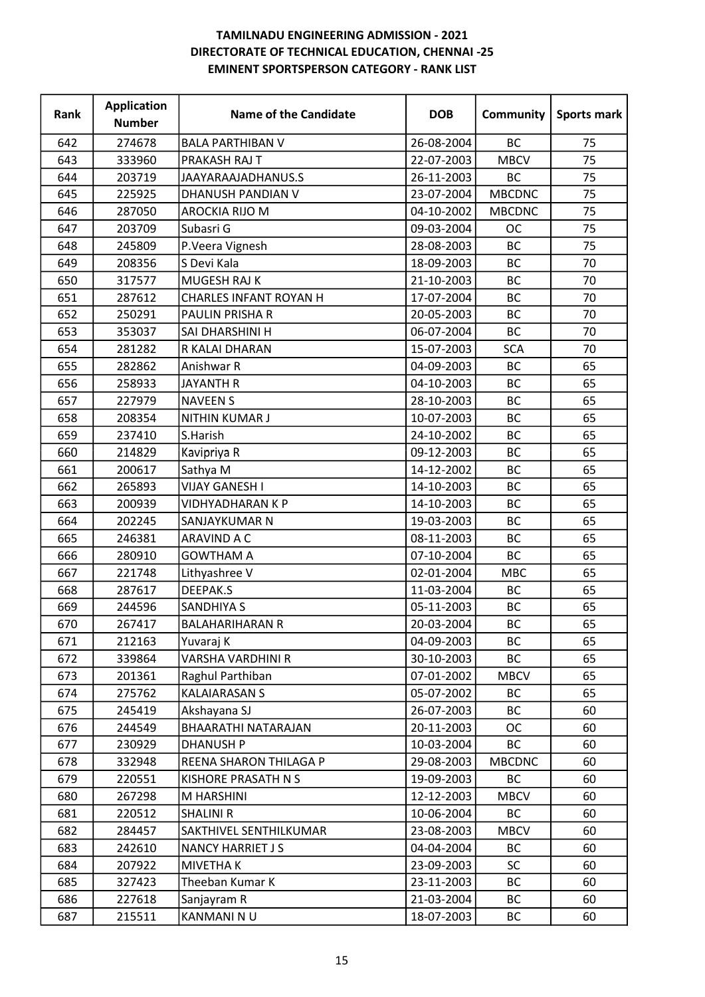| Rank | <b>Application</b><br><b>Number</b> | <b>Name of the Candidate</b>  | <b>DOB</b> | <b>Community</b> | Sports mark |
|------|-------------------------------------|-------------------------------|------------|------------------|-------------|
| 642  | 274678                              | <b>BALA PARTHIBAN V</b>       | 26-08-2004 | <b>BC</b>        | 75          |
| 643  | 333960                              | PRAKASH RAJ T                 | 22-07-2003 | <b>MBCV</b>      | 75          |
| 644  | 203719                              | JAAYARAAJADHANUS.S            | 26-11-2003 | BC               | 75          |
| 645  | 225925                              | DHANUSH PANDIAN V             | 23-07-2004 | <b>MBCDNC</b>    | 75          |
| 646  | 287050                              | AROCKIA RIJO M                | 04-10-2002 | <b>MBCDNC</b>    | 75          |
| 647  | 203709                              | Subasri G                     | 09-03-2004 | <b>OC</b>        | 75          |
| 648  | 245809                              | P.Veera Vignesh               | 28-08-2003 | <b>BC</b>        | 75          |
| 649  | 208356                              | S Devi Kala                   | 18-09-2003 | BC               | 70          |
| 650  | 317577                              | MUGESH RAJ K                  | 21-10-2003 | BC               | 70          |
| 651  | 287612                              | <b>CHARLES INFANT ROYAN H</b> | 17-07-2004 | <b>BC</b>        | 70          |
| 652  | 250291                              | PAULIN PRISHA R               | 20-05-2003 | <b>BC</b>        | 70          |
| 653  | 353037                              | SAI DHARSHINI H               | 06-07-2004 | <b>BC</b>        | 70          |
| 654  | 281282                              | R KALAI DHARAN                | 15-07-2003 | <b>SCA</b>       | 70          |
| 655  | 282862                              | Anishwar R                    | 04-09-2003 | <b>BC</b>        | 65          |
| 656  | 258933                              | <b>JAYANTH R</b>              | 04-10-2003 | BC               | 65          |
| 657  | 227979                              | <b>NAVEEN S</b>               | 28-10-2003 | <b>BC</b>        | 65          |
| 658  | 208354                              | NITHIN KUMAR J                | 10-07-2003 | <b>BC</b>        | 65          |
| 659  | 237410                              | S.Harish                      | 24-10-2002 | BC               | 65          |
| 660  | 214829                              | Kavipriya R                   | 09-12-2003 | <b>BC</b>        | 65          |
| 661  | 200617                              | Sathya M                      | 14-12-2002 | <b>BC</b>        | 65          |
| 662  | 265893                              | <b>VIJAY GANESH I</b>         | 14-10-2003 | BC               | 65          |
| 663  | 200939                              | <b>VIDHYADHARAN K P</b>       | 14-10-2003 | <b>BC</b>        | 65          |
| 664  | 202245                              | SANJAYKUMAR N                 | 19-03-2003 | <b>BC</b>        | 65          |
| 665  | 246381                              | ARAVIND A C                   | 08-11-2003 | <b>BC</b>        | 65          |
| 666  | 280910                              | <b>GOWTHAM A</b>              | 07-10-2004 | <b>BC</b>        | 65          |
| 667  | 221748                              | Lithyashree V                 | 02-01-2004 | <b>MBC</b>       | 65          |
| 668  | 287617                              | DEEPAK.S                      | 11-03-2004 | <b>BC</b>        | 65          |
| 669  | 244596                              | <b>SANDHIYA S</b>             | 05-11-2003 | BC               | 65          |
| 670  | 267417                              | <b>BALAHARIHARAN R</b>        | 20-03-2004 | <b>BC</b>        | 65          |
| 671  | 212163                              | Yuvaraj K                     | 04-09-2003 | BC               | 65          |
| 672  | 339864                              | VARSHA VARDHINI R             | 30-10-2003 | <b>BC</b>        | 65          |
| 673  | 201361                              | Raghul Parthiban              | 07-01-2002 | <b>MBCV</b>      | 65          |
| 674  | 275762                              | <b>KALAIARASAN S</b>          | 05-07-2002 | BC               | 65          |
| 675  | 245419                              | Akshayana SJ                  | 26-07-2003 | BC               | 60          |
| 676  | 244549                              | BHAARATHI NATARAJAN           | 20-11-2003 | ОC               | 60          |
| 677  | 230929                              | <b>DHANUSH P</b>              | 10-03-2004 | <b>BC</b>        | 60          |
| 678  | 332948                              | REENA SHARON THILAGA P        | 29-08-2003 | <b>MBCDNC</b>    | 60          |
| 679  | 220551                              | KISHORE PRASATH N S           | 19-09-2003 | <b>BC</b>        | 60          |
| 680  | 267298                              | M HARSHINI                    | 12-12-2003 | <b>MBCV</b>      | 60          |
| 681  | 220512                              | <b>SHALINI R</b>              | 10-06-2004 | BC               | 60          |
| 682  | 284457                              | SAKTHIVEL SENTHILKUMAR        | 23-08-2003 | <b>MBCV</b>      | 60          |
| 683  | 242610                              | <b>NANCY HARRIET JS</b>       | 04-04-2004 | BC               | 60          |
| 684  | 207922                              | <b>MIVETHAK</b>               | 23-09-2003 | <b>SC</b>        | 60          |
| 685  | 327423                              | Theeban Kumar K               | 23-11-2003 | ВC               | 60          |
| 686  | 227618                              | Sanjayram R                   | 21-03-2004 | BC               | 60          |
| 687  | 215511                              | KANMANI NU                    | 18-07-2003 | ВC               | 60          |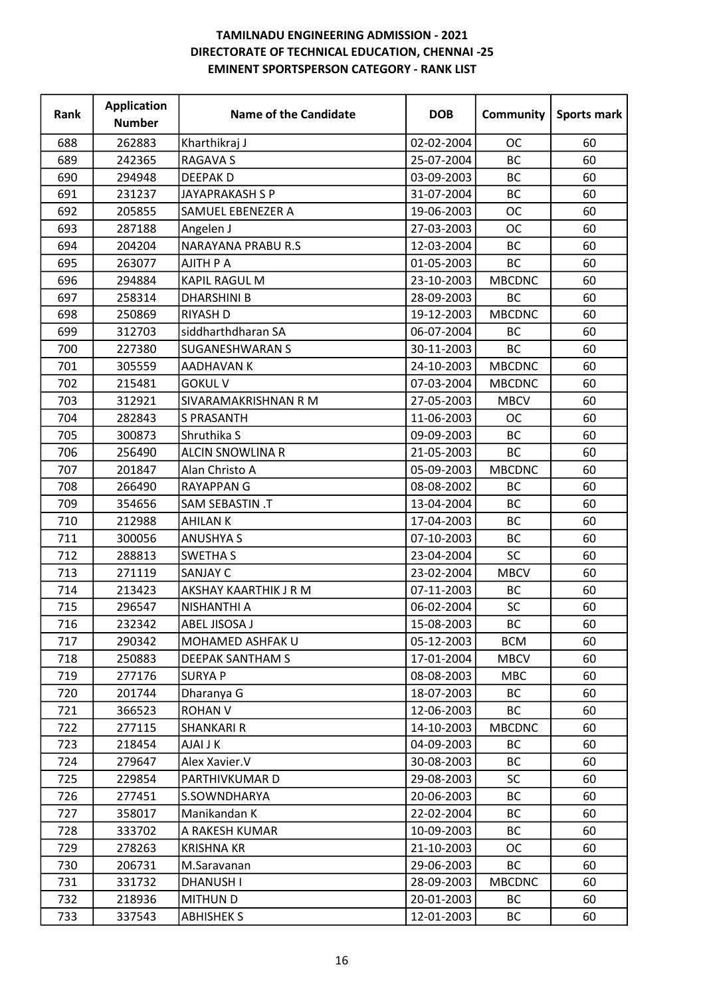| Rank | <b>Application</b><br><b>Number</b> | <b>Name of the Candidate</b> | <b>DOB</b> | Community     | Sports mark |
|------|-------------------------------------|------------------------------|------------|---------------|-------------|
| 688  | 262883                              | Kharthikraj J                | 02-02-2004 | <b>OC</b>     | 60          |
| 689  | 242365                              | <b>RAGAVA S</b>              | 25-07-2004 | <b>BC</b>     | 60          |
| 690  | 294948                              | <b>DEEPAKD</b>               | 03-09-2003 | <b>BC</b>     | 60          |
| 691  | 231237                              | JAYAPRAKASH S P              | 31-07-2004 | BC            | 60          |
| 692  | 205855                              | <b>SAMUEL EBENEZER A</b>     | 19-06-2003 | <b>OC</b>     | 60          |
| 693  | 287188                              | Angelen J                    | 27-03-2003 | <b>OC</b>     | 60          |
| 694  | 204204                              | <b>NARAYANA PRABU R.S</b>    | 12-03-2004 | BC            | 60          |
| 695  | 263077                              | <b>AJITH P A</b>             | 01-05-2003 | <b>BC</b>     | 60          |
| 696  | 294884                              | KAPIL RAGUL M                | 23-10-2003 | <b>MBCDNC</b> | 60          |
| 697  | 258314                              | <b>DHARSHINI B</b>           | 28-09-2003 | <b>BC</b>     | 60          |
| 698  | 250869                              | <b>RIYASH D</b>              | 19-12-2003 | <b>MBCDNC</b> | 60          |
| 699  | 312703                              | siddharthdharan SA           | 06-07-2004 | BC            | 60          |
| 700  | 227380                              | <b>SUGANESHWARAN S</b>       | 30-11-2003 | BC            | 60          |
| 701  | 305559                              | AADHAVAN K                   | 24-10-2003 | <b>MBCDNC</b> | 60          |
| 702  | 215481                              | <b>GOKUL V</b>               | 07-03-2004 | <b>MBCDNC</b> | 60          |
| 703  | 312921                              | SIVARAMAKRISHNAN R M         | 27-05-2003 | <b>MBCV</b>   | 60          |
| 704  | 282843                              | <b>S PRASANTH</b>            | 11-06-2003 | <b>OC</b>     | 60          |
| 705  | 300873                              | Shruthika S                  | 09-09-2003 | <b>BC</b>     | 60          |
| 706  | 256490                              | <b>ALCIN SNOWLINA R</b>      | 21-05-2003 | <b>BC</b>     | 60          |
| 707  | 201847                              | Alan Christo A               | 05-09-2003 | <b>MBCDNC</b> | 60          |
| 708  | 266490                              | <b>RAYAPPAN G</b>            | 08-08-2002 | BC            | 60          |
| 709  | 354656                              | <b>SAM SEBASTIN .T</b>       | 13-04-2004 | <b>BC</b>     | 60          |
| 710  | 212988                              | <b>AHILANK</b>               | 17-04-2003 | BC            | 60          |
| 711  | 300056                              | <b>ANUSHYA S</b>             | 07-10-2003 | BC            | 60          |
| 712  | 288813                              | <b>SWETHA S</b>              | 23-04-2004 | SC            | 60          |
| 713  | 271119                              | <b>SANJAY C</b>              | 23-02-2004 | <b>MBCV</b>   | 60          |
| 714  | 213423                              | AKSHAY KAARTHIK J R M        | 07-11-2003 | BC            | 60          |
| 715  | 296547                              | NISHANTHI A                  | 06-02-2004 | SC            | 60          |
| 716  | 232342                              | ABEL JISOSA J                | 15-08-2003 | BC            | 60          |
| 717  | 290342                              | <b>MOHAMED ASHFAK U</b>      | 05-12-2003 | <b>BCM</b>    | 60          |
| 718  | 250883                              | <b>DEEPAK SANTHAM S</b>      | 17-01-2004 | <b>MBCV</b>   | 60          |
| 719  | 277176                              | <b>SURYA P</b>               | 08-08-2003 | <b>MBC</b>    | 60          |
| 720  | 201744                              | Dharanya G                   | 18-07-2003 | ВC            | 60          |
| 721  | 366523                              | <b>ROHAN V</b>               | 12-06-2003 | <b>BC</b>     | 60          |
| 722  | 277115                              | <b>SHANKARI R</b>            | 14-10-2003 | <b>MBCDNC</b> | 60          |
| 723  | 218454                              | <b>AJAI J K</b>              | 04-09-2003 | <b>BC</b>     | 60          |
| 724  | 279647                              | Alex Xavier.V                | 30-08-2003 | BC            | 60          |
| 725  | 229854                              | PARTHIVKUMAR D               | 29-08-2003 | <b>SC</b>     | 60          |
| 726  | 277451                              | S.SOWNDHARYA                 | 20-06-2003 | BC            | 60          |
| 727  | 358017                              | Manikandan K                 | 22-02-2004 | <b>BC</b>     | 60          |
| 728  | 333702                              | A RAKESH KUMAR               | 10-09-2003 | <b>BC</b>     | 60          |
| 729  | 278263                              | <b>KRISHNA KR</b>            | 21-10-2003 | <b>OC</b>     | 60          |
| 730  | 206731                              | M.Saravanan                  | 29-06-2003 | ВC            | 60          |
| 731  | 331732                              | <b>DHANUSH I</b>             | 28-09-2003 | <b>MBCDNC</b> | 60          |
| 732  | 218936                              | <b>MITHUND</b>               | 20-01-2003 | BC            | 60          |
| 733  | 337543                              | <b>ABHISHEK S</b>            | 12-01-2003 | ВC            | 60          |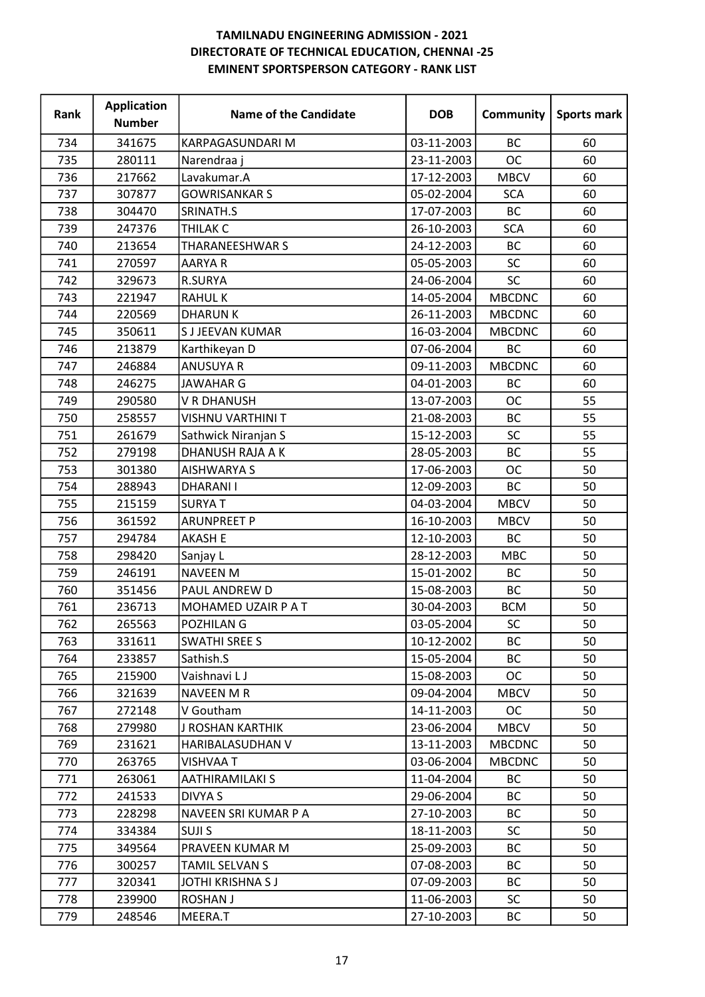| Rank | <b>Application</b><br><b>Number</b> | <b>Name of the Candidate</b> | <b>DOB</b> | Community     | <b>Sports mark</b> |
|------|-------------------------------------|------------------------------|------------|---------------|--------------------|
| 734  | 341675                              | KARPAGASUNDARI M             | 03-11-2003 | <b>BC</b>     | 60                 |
| 735  | 280111                              | Narendraa j                  | 23-11-2003 | <b>OC</b>     | 60                 |
| 736  | 217662                              | Lavakumar.A                  | 17-12-2003 | <b>MBCV</b>   | 60                 |
| 737  | 307877                              | <b>GOWRISANKAR S</b>         | 05-02-2004 | <b>SCA</b>    | 60                 |
| 738  | 304470                              | SRINATH.S                    | 17-07-2003 | <b>BC</b>     | 60                 |
| 739  | 247376                              | <b>THILAK C</b>              | 26-10-2003 | <b>SCA</b>    | 60                 |
| 740  | 213654                              | <b>THARANEESHWAR S</b>       | 24-12-2003 | BC            | 60                 |
| 741  | 270597                              | <b>AARYAR</b>                | 05-05-2003 | SC            | 60                 |
| 742  | 329673                              | R.SURYA                      | 24-06-2004 | SC            | 60                 |
| 743  | 221947                              | <b>RAHULK</b>                | 14-05-2004 | <b>MBCDNC</b> | 60                 |
| 744  | 220569                              | <b>DHARUNK</b>               | 26-11-2003 | <b>MBCDNC</b> | 60                 |
| 745  | 350611                              | <b>SJJEEVAN KUMAR</b>        | 16-03-2004 | <b>MBCDNC</b> | 60                 |
| 746  | 213879                              | Karthikeyan D                | 07-06-2004 | BC            | 60                 |
| 747  | 246884                              | <b>ANUSUYA R</b>             | 09-11-2003 | <b>MBCDNC</b> | 60                 |
| 748  | 246275                              | <b>JAWAHAR G</b>             | 04-01-2003 | <b>BC</b>     | 60                 |
| 749  | 290580                              | V R DHANUSH                  | 13-07-2003 | <b>OC</b>     | 55                 |
| 750  | 258557                              | VISHNU VARTHINI T            | 21-08-2003 | BC            | 55                 |
| 751  | 261679                              | Sathwick Niranjan S          | 15-12-2003 | SC            | 55                 |
| 752  | 279198                              | DHANUSH RAJA A K             | 28-05-2003 | <b>BC</b>     | 55                 |
| 753  | 301380                              | <b>AISHWARYA S</b>           | 17-06-2003 | <b>OC</b>     | 50                 |
| 754  | 288943                              | <b>DHARANII</b>              | 12-09-2003 | <b>BC</b>     | 50                 |
| 755  | 215159                              | <b>SURYAT</b>                | 04-03-2004 | <b>MBCV</b>   | 50                 |
| 756  | 361592                              | <b>ARUNPREET P</b>           | 16-10-2003 | <b>MBCV</b>   | 50                 |
| 757  | 294784                              | <b>AKASH E</b>               | 12-10-2003 | BC            | 50                 |
| 758  | 298420                              | Sanjay L                     | 28-12-2003 | <b>MBC</b>    | 50                 |
| 759  | 246191                              | <b>NAVEEN M</b>              | 15-01-2002 | BC            | 50                 |
| 760  | 351456                              | PAUL ANDREW D                | 15-08-2003 | <b>BC</b>     | 50                 |
| 761  | 236713                              | MOHAMED UZAIR P A T          | 30-04-2003 | <b>BCM</b>    | 50                 |
| 762  | 265563                              | POZHILAN G                   | 03-05-2004 | SC            | 50                 |
| 763  | 331611                              | <b>SWATHI SREE S</b>         | 10-12-2002 | BC            | 50                 |
| 764  | 233857                              | Sathish.S                    | 15-05-2004 | <b>BC</b>     | 50                 |
| 765  | 215900                              | Vaishnavi LJ                 | 15-08-2003 | <b>OC</b>     | 50                 |
| 766  | 321639                              | <b>NAVEEN M R</b>            | 09-04-2004 | <b>MBCV</b>   | 50                 |
| 767  | 272148                              | V Goutham                    | 14-11-2003 | <b>OC</b>     | 50                 |
| 768  | 279980                              | <b>J ROSHAN KARTHIK</b>      | 23-06-2004 | <b>MBCV</b>   | 50                 |
| 769  | 231621                              | HARIBALASUDHAN V             | 13-11-2003 | <b>MBCDNC</b> | 50                 |
| 770  | 263765                              | <b>VISHVAA T</b>             | 03-06-2004 | <b>MBCDNC</b> | 50                 |
| 771  | 263061                              | <b>AATHIRAMILAKI S</b>       | 11-04-2004 | ВC            | 50                 |
| 772  | 241533                              | DIVYA S                      | 29-06-2004 | BC            | 50                 |
| 773  | 228298                              | NAVEEN SRI KUMAR P A         | 27-10-2003 | BC            | 50                 |
| 774  | 334384                              | <b>SUJIS</b>                 | 18-11-2003 | <b>SC</b>     | 50                 |
| 775  | 349564                              | PRAVEEN KUMAR M              | 25-09-2003 | BC            | 50                 |
| 776  | 300257                              | TAMIL SELVAN S               | 07-08-2003 | ВC            | 50                 |
| 777  | 320341                              | JOTHI KRISHNA S J            | 07-09-2003 | BC            | 50                 |
| 778  | 239900                              | <b>ROSHAN J</b>              | 11-06-2003 | <b>SC</b>     | 50                 |
| 779  | 248546                              | MEERA.T                      | 27-10-2003 | ВC            | 50                 |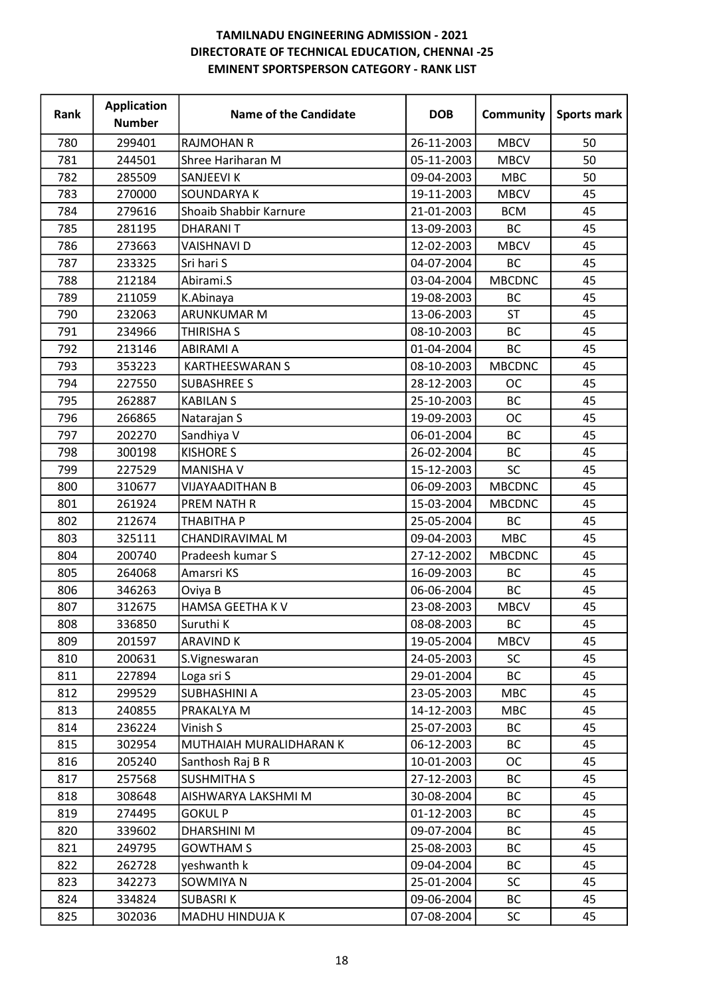| Rank | <b>Application</b><br><b>Number</b> | <b>Name of the Candidate</b> | <b>DOB</b> | Community     | <b>Sports mark</b> |
|------|-------------------------------------|------------------------------|------------|---------------|--------------------|
| 780  | 299401                              | <b>RAJMOHAN R</b>            | 26-11-2003 | <b>MBCV</b>   | 50                 |
| 781  | 244501                              | Shree Hariharan M            | 05-11-2003 | <b>MBCV</b>   | 50                 |
| 782  | 285509                              | SANJEEVI K                   | 09-04-2003 | <b>MBC</b>    | 50                 |
| 783  | 270000                              | SOUNDARYA K                  | 19-11-2003 | <b>MBCV</b>   | 45                 |
| 784  | 279616                              | Shoaib Shabbir Karnure       | 21-01-2003 | <b>BCM</b>    | 45                 |
| 785  | 281195                              | <b>DHARANIT</b>              | 13-09-2003 | <b>BC</b>     | 45                 |
| 786  | 273663                              | <b>VAISHNAVI D</b>           | 12-02-2003 | <b>MBCV</b>   | 45                 |
| 787  | 233325                              | Sri hari S                   | 04-07-2004 | <b>BC</b>     | 45                 |
| 788  | 212184                              | Abirami.S                    | 03-04-2004 | <b>MBCDNC</b> | 45                 |
| 789  | 211059                              | K.Abinaya                    | 19-08-2003 | <b>BC</b>     | 45                 |
| 790  | 232063                              | ARUNKUMAR M                  | 13-06-2003 | <b>ST</b>     | 45                 |
| 791  | 234966                              | <b>THIRISHA S</b>            | 08-10-2003 | <b>BC</b>     | 45                 |
| 792  | 213146                              | <b>ABIRAMI A</b>             | 01-04-2004 | <b>BC</b>     | 45                 |
| 793  | 353223                              | <b>KARTHEESWARAN S</b>       | 08-10-2003 | <b>MBCDNC</b> | 45                 |
| 794  | 227550                              | <b>SUBASHREE S</b>           | 28-12-2003 | <b>OC</b>     | 45                 |
| 795  | 262887                              | <b>KABILANS</b>              | 25-10-2003 | <b>BC</b>     | 45                 |
| 796  | 266865                              | Natarajan S                  | 19-09-2003 | <b>OC</b>     | 45                 |
| 797  | 202270                              | Sandhiya V                   | 06-01-2004 | <b>BC</b>     | 45                 |
| 798  | 300198                              | <b>KISHORE S</b>             | 26-02-2004 | ВC            | 45                 |
| 799  | 227529                              | <b>MANISHA V</b>             | 15-12-2003 | SC            | 45                 |
| 800  | 310677                              | <b>VIJAYAADITHAN B</b>       | 06-09-2003 | <b>MBCDNC</b> | 45                 |
| 801  | 261924                              | <b>PREM NATH R</b>           | 15-03-2004 | <b>MBCDNC</b> | 45                 |
| 802  | 212674                              | <b>THABITHA P</b>            | 25-05-2004 | BC            | 45                 |
| 803  | 325111                              | CHANDIRAVIMAL M              | 09-04-2003 | <b>MBC</b>    | 45                 |
| 804  | 200740                              | Pradeesh kumar S             | 27-12-2002 | <b>MBCDNC</b> | 45                 |
| 805  | 264068                              | Amarsri KS                   | 16-09-2003 | BC            | 45                 |
| 806  | 346263                              | Oviya B                      | 06-06-2004 | <b>BC</b>     | 45                 |
| 807  | 312675                              | HAMSA GEETHA K V             | 23-08-2003 | <b>MBCV</b>   | 45                 |
| 808  | 336850                              | Suruthi K                    | 08-08-2003 | <b>BC</b>     | 45                 |
| 809  | 201597                              | <b>ARAVIND K</b>             | 19-05-2004 | <b>MBCV</b>   | 45                 |
| 810  | 200631                              | S.Vigneswaran                | 24-05-2003 | <b>SC</b>     | 45                 |
| 811  | 227894                              | Loga sri S                   | 29-01-2004 | BC            | 45                 |
| 812  | 299529                              | SUBHASHINI A                 | 23-05-2003 | <b>MBC</b>    | 45                 |
| 813  | 240855                              | PRAKALYA M                   | 14-12-2003 | <b>MBC</b>    | 45                 |
| 814  | 236224                              | Vinish S                     | 25-07-2003 | BC            | 45                 |
| 815  | 302954                              | MUTHAIAH MURALIDHARAN K      | 06-12-2003 | <b>BC</b>     | 45                 |
| 816  | 205240                              | Santhosh Raj B R             | 10-01-2003 | ОC            | 45                 |
| 817  | 257568                              | <b>SUSHMITHA S</b>           | 27-12-2003 | ВC            | 45                 |
| 818  | 308648                              | AISHWARYA LAKSHMI M          | 30-08-2004 | BC            | 45                 |
| 819  | 274495                              | <b>GOKUL P</b>               | 01-12-2003 | BC            | 45                 |
| 820  | 339602                              | <b>DHARSHINI M</b>           | 09-07-2004 | <b>BC</b>     | 45                 |
| 821  | 249795                              | <b>GOWTHAM S</b>             | 25-08-2003 | BC            | 45                 |
| 822  | 262728                              | yeshwanth k                  | 09-04-2004 | ВC            | 45                 |
| 823  | 342273                              | SOWMIYA N                    | 25-01-2004 | <b>SC</b>     | 45                 |
| 824  | 334824                              | <b>SUBASRIK</b>              | 09-06-2004 | BC            | 45                 |
| 825  | 302036                              | MADHU HINDUJA K              | 07-08-2004 | <b>SC</b>     | 45                 |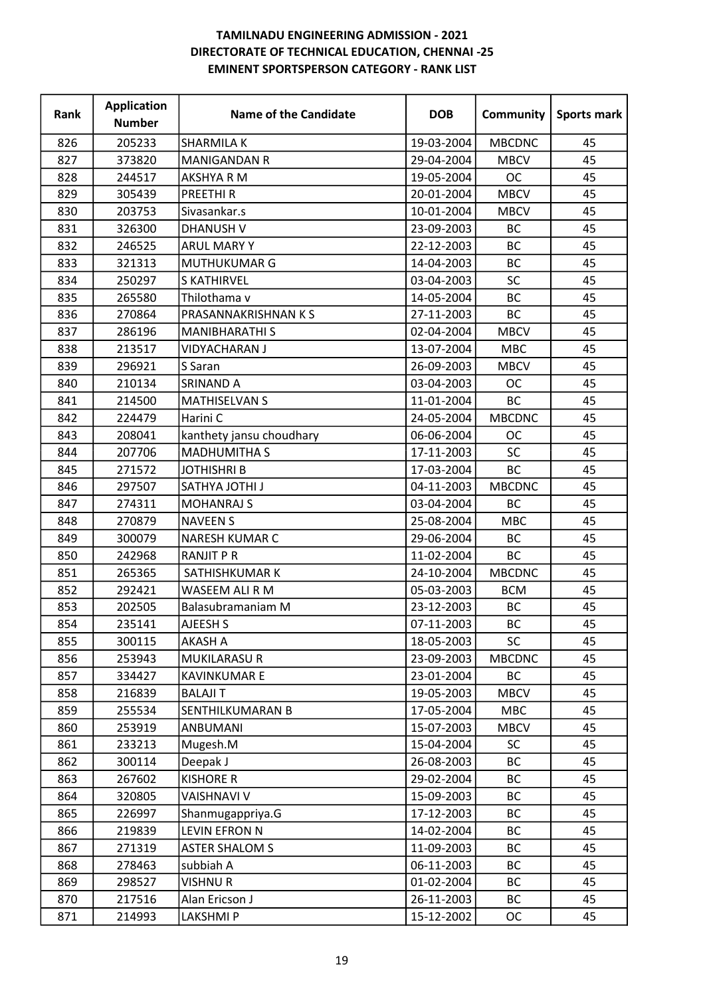| Rank | <b>Application</b><br><b>Number</b> | <b>Name of the Candidate</b> | <b>DOB</b> | Community     | Sports mark |
|------|-------------------------------------|------------------------------|------------|---------------|-------------|
| 826  | 205233                              | <b>SHARMILA K</b>            | 19-03-2004 | <b>MBCDNC</b> | 45          |
| 827  | 373820                              | <b>MANIGANDAN R</b>          | 29-04-2004 | <b>MBCV</b>   | 45          |
| 828  | 244517                              | <b>AKSHYA R M</b>            | 19-05-2004 | <b>OC</b>     | 45          |
| 829  | 305439                              | <b>PREETHIR</b>              | 20-01-2004 | <b>MBCV</b>   | 45          |
| 830  | 203753                              | Sivasankar.s                 | 10-01-2004 | <b>MBCV</b>   | 45          |
| 831  | 326300                              | <b>DHANUSH V</b>             | 23-09-2003 | <b>BC</b>     | 45          |
| 832  | 246525                              | <b>ARUL MARY Y</b>           | 22-12-2003 | BC            | 45          |
| 833  | 321313                              | MUTHUKUMAR G                 | 14-04-2003 | <b>BC</b>     | 45          |
| 834  | 250297                              | <b>S KATHIRVEL</b>           | 03-04-2003 | <b>SC</b>     | 45          |
| 835  | 265580                              | Thilothama v                 | 14-05-2004 | BC            | 45          |
| 836  | 270864                              | PRASANNAKRISHNAN K S         | 27-11-2003 | BC            | 45          |
| 837  | 286196                              | <b>MANIBHARATHI S</b>        | 02-04-2004 | <b>MBCV</b>   | 45          |
| 838  | 213517                              | <b>VIDYACHARAN J</b>         | 13-07-2004 | <b>MBC</b>    | 45          |
| 839  | 296921                              | S Saran                      | 26-09-2003 | <b>MBCV</b>   | 45          |
| 840  | 210134                              | <b>SRINAND A</b>             | 03-04-2003 | <b>OC</b>     | 45          |
| 841  | 214500                              | <b>MATHISELVAN S</b>         | 11-01-2004 | <b>BC</b>     | 45          |
| 842  | 224479                              | Harini C                     | 24-05-2004 | <b>MBCDNC</b> | 45          |
| 843  | 208041                              | kanthety jansu choudhary     | 06-06-2004 | <b>OC</b>     | 45          |
| 844  | 207706                              | <b>MADHUMITHA S</b>          | 17-11-2003 | <b>SC</b>     | 45          |
| 845  | 271572                              | JOTHISHRI B                  | 17-03-2004 | BC            | 45          |
| 846  | 297507                              | <b>SATHYA JOTHI J</b>        | 04-11-2003 | <b>MBCDNC</b> | 45          |
| 847  | 274311                              | <b>MOHANRAJ S</b>            | 03-04-2004 | <b>BC</b>     | 45          |
| 848  | 270879                              | <b>NAVEEN S</b>              | 25-08-2004 | <b>MBC</b>    | 45          |
| 849  | 300079                              | <b>NARESH KUMAR C</b>        | 29-06-2004 | <b>BC</b>     | 45          |
| 850  | 242968                              | <b>RANJIT P R</b>            | 11-02-2004 | <b>BC</b>     | 45          |
| 851  | 265365                              | SATHISHKUMAR K               | 24-10-2004 | <b>MBCDNC</b> | 45          |
| 852  | 292421                              | WASEEM ALI R M               | 05-03-2003 | <b>BCM</b>    | 45          |
| 853  | 202505                              | Balasubramaniam M            | 23-12-2003 | <b>BC</b>     | 45          |
| 854  | 235141                              | AJEESH S                     | 07-11-2003 | ВC            | 45          |
| 855  | 300115                              | <b>AKASH A</b>               | 18-05-2003 | <b>SC</b>     | 45          |
| 856  | 253943                              | <b>MUKILARASUR</b>           | 23-09-2003 | <b>MBCDNC</b> | 45          |
| 857  | 334427                              | <b>KAVINKUMAR E</b>          | 23-01-2004 | BC            | 45          |
| 858  | 216839                              | <b>BALAJI T</b>              | 19-05-2003 | <b>MBCV</b>   | 45          |
| 859  | 255534                              | <b>SENTHILKUMARAN B</b>      | 17-05-2004 | <b>MBC</b>    | 45          |
| 860  | 253919                              | <b>ANBUMANI</b>              | 15-07-2003 | <b>MBCV</b>   | 45          |
| 861  | 233213                              | Mugesh.M                     | 15-04-2004 | <b>SC</b>     | 45          |
| 862  | 300114                              | Deepak J                     | 26-08-2003 | BC            | 45          |
| 863  | 267602                              | <b>KISHORE R</b>             | 29-02-2004 | <b>BC</b>     | 45          |
| 864  | 320805                              | <b>VAISHNAVI V</b>           | 15-09-2003 | BC            | 45          |
| 865  | 226997                              | Shanmugappriya.G             | 17-12-2003 | <b>BC</b>     | 45          |
| 866  | 219839                              | <b>LEVIN EFRON N</b>         | 14-02-2004 | <b>BC</b>     | 45          |
| 867  | 271319                              | <b>ASTER SHALOM S</b>        | 11-09-2003 | <b>BC</b>     | 45          |
| 868  | 278463                              | subbiah A                    | 06-11-2003 | BC            | 45          |
| 869  | 298527                              | <b>VISHNUR</b>               | 01-02-2004 | BC            | 45          |
| 870  | 217516                              | Alan Ericson J               | 26-11-2003 | ВC            | 45          |
| 871  | 214993                              | <b>LAKSHMIP</b>              | 15-12-2002 | ОC            | 45          |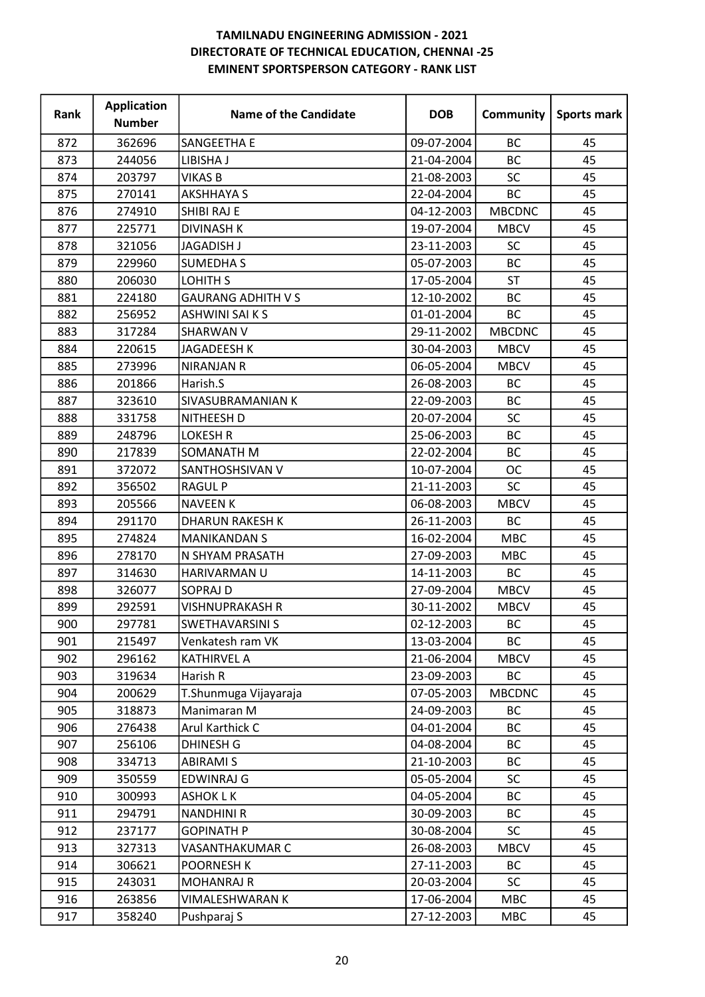| Rank | <b>Application</b><br><b>Number</b> | <b>Name of the Candidate</b> | <b>DOB</b> | Community     | Sports mark |
|------|-------------------------------------|------------------------------|------------|---------------|-------------|
| 872  | 362696                              | SANGEETHA E                  | 09-07-2004 | <b>BC</b>     | 45          |
| 873  | 244056                              | LIBISHA J                    | 21-04-2004 | <b>BC</b>     | 45          |
| 874  | 203797                              | <b>VIKAS B</b>               | 21-08-2003 | SC            | 45          |
| 875  | 270141                              | <b>AKSHHAYA S</b>            | 22-04-2004 | BC            | 45          |
| 876  | 274910                              | SHIBI RAJ E                  | 04-12-2003 | <b>MBCDNC</b> | 45          |
| 877  | 225771                              | <b>DIVINASH K</b>            | 19-07-2004 | <b>MBCV</b>   | 45          |
| 878  | 321056                              | JAGADISH J                   | 23-11-2003 | <b>SC</b>     | 45          |
| 879  | 229960                              | <b>SUMEDHAS</b>              | 05-07-2003 | <b>BC</b>     | 45          |
| 880  | 206030                              | LOHITH S                     | 17-05-2004 | <b>ST</b>     | 45          |
| 881  | 224180                              | <b>GAURANG ADHITH V S</b>    | 12-10-2002 | BC            | 45          |
| 882  | 256952                              | <b>ASHWINI SAI K S</b>       | 01-01-2004 | BC            | 45          |
| 883  | 317284                              | <b>SHARWAN V</b>             | 29-11-2002 | <b>MBCDNC</b> | 45          |
| 884  | 220615                              | <b>JAGADEESH K</b>           | 30-04-2003 | <b>MBCV</b>   | 45          |
| 885  | 273996                              | <b>NIRANJAN R</b>            | 06-05-2004 | <b>MBCV</b>   | 45          |
| 886  | 201866                              | Harish.S                     | 26-08-2003 | <b>BC</b>     | 45          |
| 887  | 323610                              | SIVASUBRAMANIAN K            | 22-09-2003 | <b>BC</b>     | 45          |
| 888  | 331758                              | NITHEESH D                   | 20-07-2004 | SC            | 45          |
| 889  | 248796                              | <b>LOKESH R</b>              | 25-06-2003 | <b>BC</b>     | 45          |
| 890  | 217839                              | SOMANATH M                   | 22-02-2004 | <b>BC</b>     | 45          |
| 891  | 372072                              | SANTHOSHSIVAN V              | 10-07-2004 | <b>OC</b>     | 45          |
| 892  | 356502                              | <b>RAGUL P</b>               | 21-11-2003 | <b>SC</b>     | 45          |
| 893  | 205566                              | <b>NAVEEN K</b>              | 06-08-2003 | <b>MBCV</b>   | 45          |
| 894  | 291170                              | <b>DHARUN RAKESH K</b>       | 26-11-2003 | BC            | 45          |
| 895  | 274824                              | <b>MANIKANDAN S</b>          | 16-02-2004 | <b>MBC</b>    | 45          |
| 896  | 278170                              | N SHYAM PRASATH              | 27-09-2003 | <b>MBC</b>    | 45          |
| 897  | 314630                              | HARIVARMAN U                 | 14-11-2003 | BC            | 45          |
| 898  | 326077                              | <b>SOPRAJ D</b>              | 27-09-2004 | <b>MBCV</b>   | 45          |
| 899  | 292591                              | VISHNUPRAKASH R              | 30-11-2002 | <b>MBCV</b>   | 45          |
| 900  | 297781                              | <b>SWETHAVARSINI S</b>       | 02-12-2003 | ВC            | 45          |
| 901  | 215497                              | Venkatesh ram VK             | 13-03-2004 | BC            | 45          |
| 902  | 296162                              | <b>KATHIRVEL A</b>           | 21-06-2004 | <b>MBCV</b>   | 45          |
| 903  | 319634                              | Harish R                     | 23-09-2003 | BC            | 45          |
| 904  | 200629                              | T.Shunmuga Vijayaraja        | 07-05-2003 | <b>MBCDNC</b> | 45          |
| 905  | 318873                              | Manimaran M                  | 24-09-2003 | <b>BC</b>     | 45          |
| 906  | 276438                              | Arul Karthick C              | 04-01-2004 | BC            | 45          |
| 907  | 256106                              | <b>DHINESH G</b>             | 04-08-2004 | <b>BC</b>     | 45          |
| 908  | 334713                              | <b>ABIRAMI S</b>             | 21-10-2003 | BC            | 45          |
| 909  | 350559                              | <b>EDWINRAJ G</b>            | 05-05-2004 | <b>SC</b>     | 45          |
| 910  | 300993                              | <b>ASHOK LK</b>              | 04-05-2004 | <b>BC</b>     | 45          |
| 911  | 294791                              | <b>NANDHINI R</b>            | 30-09-2003 | <b>BC</b>     | 45          |
| 912  | 237177                              | <b>GOPINATH P</b>            | 30-08-2004 | <b>SC</b>     | 45          |
| 913  | 327313                              | VASANTHAKUMAR C              | 26-08-2003 | <b>MBCV</b>   | 45          |
| 914  | 306621                              | POORNESH K                   | 27-11-2003 | ВC            | 45          |
| 915  | 243031                              | <b>MOHANRAJ R</b>            | 20-03-2004 | SC            | 45          |
| 916  | 263856                              | VIMALESHWARAN K              | 17-06-2004 | <b>MBC</b>    | 45          |
| 917  | 358240                              | Pushparaj S                  | 27-12-2003 | MBC           | 45          |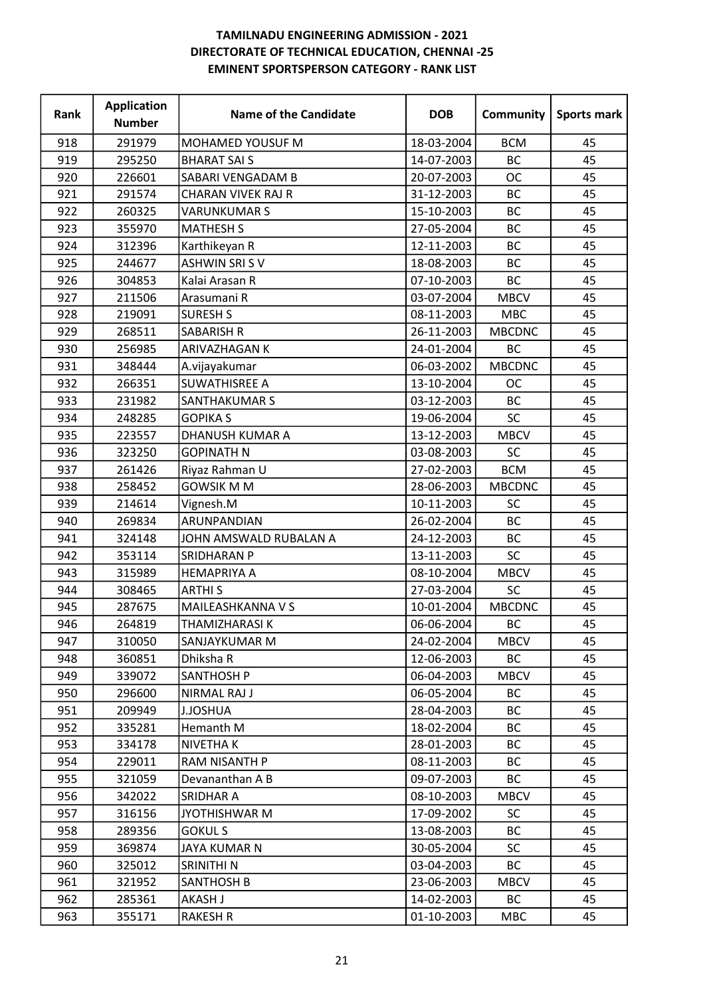| <b>Rank</b> | <b>Application</b><br><b>Number</b> | <b>Name of the Candidate</b> | <b>DOB</b> | Community     | Sports mark |
|-------------|-------------------------------------|------------------------------|------------|---------------|-------------|
| 918         | 291979                              | MOHAMED YOUSUF M             | 18-03-2004 | <b>BCM</b>    | 45          |
| 919         | 295250                              | <b>BHARAT SAI S</b>          | 14-07-2003 | <b>BC</b>     | 45          |
| 920         | 226601                              | SABARI VENGADAM B            | 20-07-2003 | <b>OC</b>     | 45          |
| 921         | 291574                              | CHARAN VIVEK RAJ R           | 31-12-2003 | <b>BC</b>     | 45          |
| 922         | 260325                              | <b>VARUNKUMAR S</b>          | 15-10-2003 | <b>BC</b>     | 45          |
| 923         | 355970                              | <b>MATHESH S</b>             | 27-05-2004 | <b>BC</b>     | 45          |
| 924         | 312396                              | Karthikeyan R                | 12-11-2003 | <b>BC</b>     | 45          |
| 925         | 244677                              | <b>ASHWIN SRIS V</b>         | 18-08-2003 | BC            | 45          |
| 926         | 304853                              | Kalai Arasan R               | 07-10-2003 | BC            | 45          |
| 927         | 211506                              | Arasumani R                  | 03-07-2004 | <b>MBCV</b>   | 45          |
| 928         | 219091                              | <b>SURESH S</b>              | 08-11-2003 | <b>MBC</b>    | 45          |
| 929         | 268511                              | <b>SABARISH R</b>            | 26-11-2003 | <b>MBCDNC</b> | 45          |
| 930         | 256985                              | ARIVAZHAGAN K                | 24-01-2004 | <b>BC</b>     | 45          |
| 931         | 348444                              | A.vijayakumar                | 06-03-2002 | <b>MBCDNC</b> | 45          |
| 932         | 266351                              | <b>SUWATHISREE A</b>         | 13-10-2004 | <b>OC</b>     | 45          |
| 933         | 231982                              | SANTHAKUMAR S                | 03-12-2003 | <b>BC</b>     | 45          |
| 934         | 248285                              | <b>GOPIKA S</b>              | 19-06-2004 | SC            | 45          |
| 935         | 223557                              | <b>DHANUSH KUMAR A</b>       | 13-12-2003 | <b>MBCV</b>   | 45          |
| 936         | 323250                              | <b>GOPINATH N</b>            | 03-08-2003 | SC            | 45          |
| 937         | 261426                              | Riyaz Rahman U               | 27-02-2003 | <b>BCM</b>    | 45          |
| 938         | 258452                              | <b>GOWSIK M M</b>            | 28-06-2003 | <b>MBCDNC</b> | 45          |
| 939         | 214614                              | Vignesh.M                    | 10-11-2003 | SC            | 45          |
| 940         | 269834                              | ARUNPANDIAN                  | 26-02-2004 | <b>BC</b>     | 45          |
| 941         | 324148                              | JOHN AMSWALD RUBALAN A       | 24-12-2003 | <b>BC</b>     | 45          |
| 942         | 353114                              | SRIDHARAN P                  | 13-11-2003 | <b>SC</b>     | 45          |
| 943         | 315989                              | <b>HEMAPRIYA A</b>           | 08-10-2004 | <b>MBCV</b>   | 45          |
| 944         | 308465                              | <b>ARTHIS</b>                | 27-03-2004 | SC            | 45          |
| 945         | 287675                              | MAILEASHKANNA V S            | 10-01-2004 | <b>MBCDNC</b> | 45          |
| 946         | 264819                              | THAMIZHARASI K               | 06-06-2004 | BC            | 45          |
| 947         | 310050                              | SANJAYKUMAR M                | 24-02-2004 | MBCV          | 45          |
| 948         | 360851                              | Dhiksha R                    | 12-06-2003 | ВC            | 45          |
| 949         | 339072                              | <b>SANTHOSH P</b>            | 06-04-2003 | <b>MBCV</b>   | 45          |
| 950         | 296600                              | NIRMAL RAJ J                 | 06-05-2004 | ВC            | 45          |
| 951         | 209949                              | J.JOSHUA                     | 28-04-2003 | BC            | 45          |
| 952         | 335281                              | Hemanth M                    | 18-02-2004 | BC            | 45          |
| 953         | 334178                              | NIVETHA K                    | 28-01-2003 | ВC            | 45          |
| 954         | 229011                              | RAM NISANTH P                | 08-11-2003 | ВC            | 45          |
| 955         | 321059                              | Devananthan A B              | 09-07-2003 | ВC            | 45          |
| 956         | 342022                              | SRIDHAR A                    | 08-10-2003 | <b>MBCV</b>   | 45          |
| 957         | 316156                              | <b>JYOTHISHWAR M</b>         | 17-09-2002 | <b>SC</b>     | 45          |
| 958         | 289356                              | <b>GOKULS</b>                | 13-08-2003 | <b>BC</b>     | 45          |
| 959         | 369874                              | JAYA KUMAR N                 | 30-05-2004 | <b>SC</b>     | 45          |
| 960         | 325012                              | SRINITHI N                   | 03-04-2003 | <b>BC</b>     | 45          |
| 961         | 321952                              | <b>SANTHOSH B</b>            | 23-06-2003 | <b>MBCV</b>   | 45          |
| 962         | 285361                              | <b>AKASH J</b>               | 14-02-2003 | ВC            | 45          |
| 963         | 355171                              | <b>RAKESH R</b>              | 01-10-2003 | <b>MBC</b>    | 45          |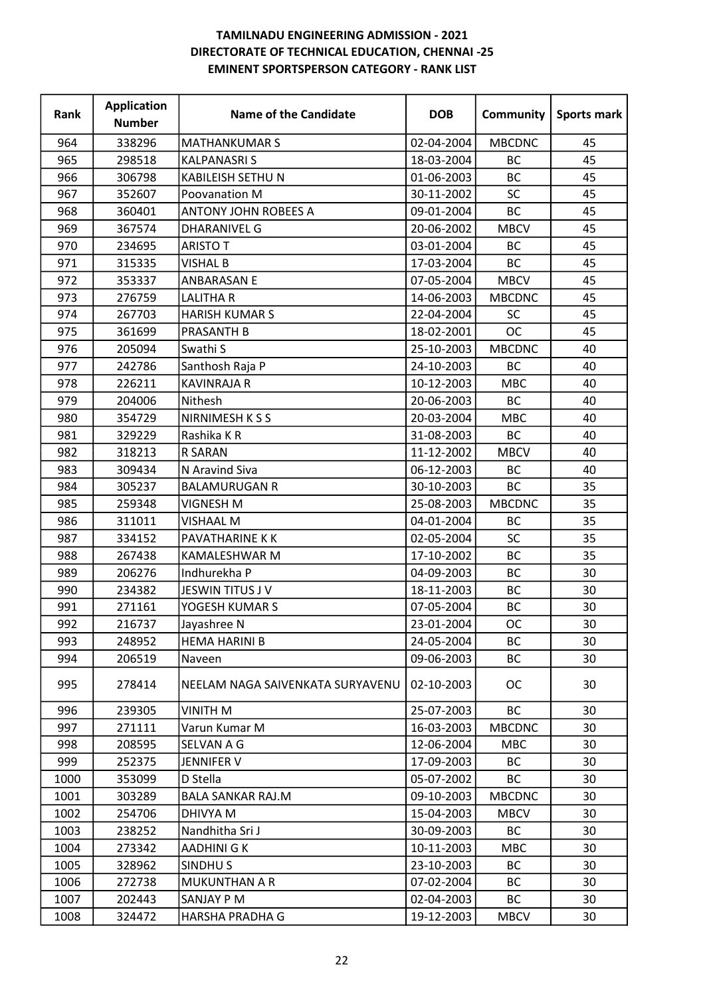| Rank | <b>Application</b><br><b>Number</b> | <b>Name of the Candidate</b>     | <b>DOB</b> | Community     | <b>Sports mark</b> |
|------|-------------------------------------|----------------------------------|------------|---------------|--------------------|
| 964  | 338296                              | <b>MATHANKUMAR S</b>             | 02-04-2004 | <b>MBCDNC</b> | 45                 |
| 965  | 298518                              | <b>KALPANASRIS</b>               | 18-03-2004 | <b>BC</b>     | 45                 |
| 966  | 306798                              | KABILEISH SETHU N                | 01-06-2003 | <b>BC</b>     | 45                 |
| 967  | 352607                              | Poovanation M                    | 30-11-2002 | <b>SC</b>     | 45                 |
| 968  | 360401                              | <b>ANTONY JOHN ROBEES A</b>      | 09-01-2004 | <b>BC</b>     | 45                 |
| 969  | 367574                              | <b>DHARANIVEL G</b>              | 20-06-2002 | <b>MBCV</b>   | 45                 |
| 970  | 234695                              | <b>ARISTO T</b>                  | 03-01-2004 | BC            | 45                 |
| 971  | 315335                              | <b>VISHAL B</b>                  | 17-03-2004 | <b>BC</b>     | 45                 |
| 972  | 353337                              | <b>ANBARASAN E</b>               | 07-05-2004 | <b>MBCV</b>   | 45                 |
| 973  | 276759                              | <b>LALITHAR</b>                  | 14-06-2003 | <b>MBCDNC</b> | 45                 |
| 974  | 267703                              | <b>HARISH KUMAR S</b>            | 22-04-2004 | <b>SC</b>     | 45                 |
| 975  | 361699                              | <b>PRASANTH B</b>                | 18-02-2001 | <b>OC</b>     | 45                 |
| 976  | 205094                              | Swathi S                         | 25-10-2003 | <b>MBCDNC</b> | 40                 |
| 977  | 242786                              | Santhosh Raja P                  | 24-10-2003 | BC            | 40                 |
| 978  | 226211                              | <b>KAVINRAJA R</b>               | 10-12-2003 | <b>MBC</b>    | 40                 |
| 979  | 204006                              | Nithesh                          | 20-06-2003 | <b>BC</b>     | 40                 |
| 980  | 354729                              | NIRNIMESH K S S                  | 20-03-2004 | <b>MBC</b>    | 40                 |
| 981  | 329229                              | Rashika KR                       | 31-08-2003 | <b>BC</b>     | 40                 |
| 982  | 318213                              | R SARAN                          | 11-12-2002 | <b>MBCV</b>   | 40                 |
| 983  | 309434                              | N Aravind Siva                   | 06-12-2003 | BC            | 40                 |
| 984  | 305237                              | <b>BALAMURUGAN R</b>             | 30-10-2003 | <b>BC</b>     | 35                 |
| 985  | 259348                              | <b>VIGNESH M</b>                 | 25-08-2003 | <b>MBCDNC</b> | 35                 |
| 986  | 311011                              | <b>VISHAAL M</b>                 | 04-01-2004 | BC            | 35                 |
| 987  | 334152                              | PAVATHARINE K K                  | 02-05-2004 | <b>SC</b>     | 35                 |
| 988  | 267438                              | KAMALESHWAR M                    | 17-10-2002 | <b>BC</b>     | 35                 |
| 989  | 206276                              | Indhurekha P                     | 04-09-2003 | BC            | 30                 |
| 990  | 234382                              | JESWIN TITUS J V                 | 18-11-2003 | BC            | 30                 |
| 991  | 271161                              | YOGESH KUMAR S                   | 07-05-2004 | <b>BC</b>     | 30                 |
| 992  | 216737                              | Jayashree N                      | 23-01-2004 | OC            | 30                 |
| 993  | 248952                              | HEMA HARINI B                    | 24-05-2004 | BC            | 30                 |
| 994  | 206519                              | Naveen                           | 09-06-2003 | BC            | 30                 |
| 995  | 278414                              | NEELAM NAGA SAIVENKATA SURYAVENU | 02-10-2003 | <b>OC</b>     | 30                 |
| 996  | 239305                              | <b>VINITH M</b>                  | 25-07-2003 | <b>BC</b>     | 30                 |
| 997  | 271111                              | Varun Kumar M                    | 16-03-2003 | <b>MBCDNC</b> | 30                 |
| 998  | 208595                              | SELVAN A G                       | 12-06-2004 | <b>MBC</b>    | 30                 |
| 999  | 252375                              | JENNIFER V                       | 17-09-2003 | BC            | 30                 |
| 1000 | 353099                              | D Stella                         | 05-07-2002 | ВC            | 30                 |
| 1001 | 303289                              | <b>BALA SANKAR RAJ.M</b>         | 09-10-2003 | <b>MBCDNC</b> | 30                 |
| 1002 | 254706                              | DHIVYA M                         | 15-04-2003 | <b>MBCV</b>   | 30                 |
| 1003 | 238252                              | Nandhitha Sri J                  | 30-09-2003 | <b>BC</b>     | 30                 |
| 1004 | 273342                              | AADHINI G K                      | 10-11-2003 | <b>MBC</b>    | 30                 |
| 1005 | 328962                              | SINDHU <sub>S</sub>              | 23-10-2003 | ВC            | 30                 |
| 1006 | 272738                              | <b>MUKUNTHAN A R</b>             | 07-02-2004 | BC            | 30                 |
| 1007 | 202443                              | SANJAY P M                       | 02-04-2003 | BC            | 30                 |
| 1008 | 324472                              | HARSHA PRADHA G                  | 19-12-2003 | <b>MBCV</b>   | 30                 |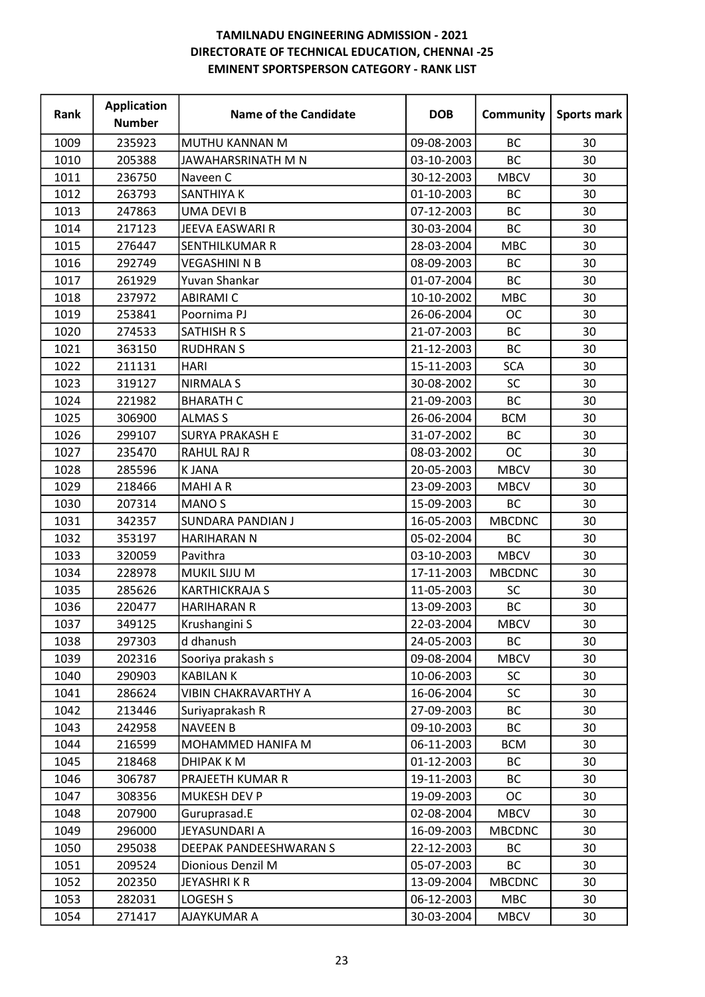| Rank | <b>Application</b><br><b>Number</b> | <b>Name of the Candidate</b> | <b>DOB</b> | Community     | Sports mark |
|------|-------------------------------------|------------------------------|------------|---------------|-------------|
| 1009 | 235923                              | MUTHU KANNAN M               | 09-08-2003 | <b>BC</b>     | 30          |
| 1010 | 205388                              | JAWAHARSRINATH M N           | 03-10-2003 | <b>BC</b>     | 30          |
| 1011 | 236750                              | Naveen C                     | 30-12-2003 | <b>MBCV</b>   | 30          |
| 1012 | 263793                              | SANTHIYA K                   | 01-10-2003 | BC            | 30          |
| 1013 | 247863                              | <b>UMA DEVI B</b>            | 07-12-2003 | <b>BC</b>     | 30          |
| 1014 | 217123                              | JEEVA EASWARI R              | 30-03-2004 | <b>BC</b>     | 30          |
| 1015 | 276447                              | <b>SENTHILKUMAR R</b>        | 28-03-2004 | <b>MBC</b>    | 30          |
| 1016 | 292749                              | <b>VEGASHINI N B</b>         | 08-09-2003 | <b>BC</b>     | 30          |
| 1017 | 261929                              | Yuvan Shankar                | 01-07-2004 | BC            | 30          |
| 1018 | 237972                              | <b>ABIRAMI C</b>             | 10-10-2002 | <b>MBC</b>    | 30          |
| 1019 | 253841                              | Poornima PJ                  | 26-06-2004 | <b>OC</b>     | 30          |
| 1020 | 274533                              | <b>SATHISH R S</b>           | 21-07-2003 | BC            | 30          |
| 1021 | 363150                              | <b>RUDHRAN S</b>             | 21-12-2003 | BC            | 30          |
| 1022 | 211131                              | <b>HARI</b>                  | 15-11-2003 | <b>SCA</b>    | 30          |
| 1023 | 319127                              | <b>NIRMALA S</b>             | 30-08-2002 | <b>SC</b>     | 30          |
| 1024 | 221982                              | <b>BHARATH C</b>             | 21-09-2003 | BC            | 30          |
| 1025 | 306900                              | <b>ALMAS S</b>               | 26-06-2004 | <b>BCM</b>    | 30          |
| 1026 | 299107                              | <b>SURYA PRAKASH E</b>       | 31-07-2002 | <b>BC</b>     | 30          |
| 1027 | 235470                              | <b>RAHUL RAJ R</b>           | 08-03-2002 | <b>OC</b>     | 30          |
| 1028 | 285596                              | <b>KJANA</b>                 | 20-05-2003 | <b>MBCV</b>   | 30          |
| 1029 | 218466                              | <b>MAHIAR</b>                | 23-09-2003 | <b>MBCV</b>   | 30          |
| 1030 | 207314                              | <b>MANO S</b>                | 15-09-2003 | <b>BC</b>     | 30          |
| 1031 | 342357                              | <b>SUNDARA PANDIAN J</b>     | 16-05-2003 | <b>MBCDNC</b> | 30          |
| 1032 | 353197                              | <b>HARIHARAN N</b>           | 05-02-2004 | BC            | 30          |
| 1033 | 320059                              | Pavithra                     | 03-10-2003 | <b>MBCV</b>   | 30          |
| 1034 | 228978                              | MUKIL SIJU M                 | 17-11-2003 | <b>MBCDNC</b> | 30          |
| 1035 | 285626                              | <b>KARTHICKRAJA S</b>        | 11-05-2003 | SC            | 30          |
| 1036 | 220477                              | <b>HARIHARAN R</b>           | 13-09-2003 | <b>BC</b>     | 30          |
| 1037 | 349125                              | Krushangini S                | 22-03-2004 | MBCV          | 30          |
| 1038 | 297303                              | d dhanush                    | 24-05-2003 | BC            | 30          |
| 1039 | 202316                              | Sooriya prakash s            | 09-08-2004 | <b>MBCV</b>   | 30          |
| 1040 | 290903                              | <b>KABILAN K</b>             | 10-06-2003 | <b>SC</b>     | 30          |
| 1041 | 286624                              | <b>VIBIN CHAKRAVARTHY A</b>  | 16-06-2004 | <b>SC</b>     | 30          |
| 1042 | 213446                              | Suriyaprakash R              | 27-09-2003 | <b>BC</b>     | 30          |
| 1043 | 242958                              | <b>NAVEEN B</b>              | 09-10-2003 | BC            | 30          |
| 1044 | 216599                              | MOHAMMED HANIFA M            | 06-11-2003 | <b>BCM</b>    | 30          |
| 1045 | 218468                              | DHIPAK K M                   | 01-12-2003 | BC            | 30          |
| 1046 | 306787                              | PRAJEETH KUMAR R             | 19-11-2003 | BC            | 30          |
| 1047 | 308356                              | MUKESH DEV P                 | 19-09-2003 | <b>OC</b>     | 30          |
| 1048 | 207900                              | Guruprasad.E                 | 02-08-2004 | <b>MBCV</b>   | 30          |
| 1049 | 296000                              | JEYASUNDARI A                | 16-09-2003 | <b>MBCDNC</b> | 30          |
| 1050 | 295038                              | DEEPAK PANDEESHWARAN S       | 22-12-2003 | BC            | 30          |
| 1051 | 209524                              | Dionious Denzil M            | 05-07-2003 | BC            | 30          |
| 1052 | 202350                              | JEYASHRIKR                   | 13-09-2004 | <b>MBCDNC</b> | 30          |
| 1053 | 282031                              | LOGESH S                     | 06-12-2003 | <b>MBC</b>    | 30          |
| 1054 | 271417                              | <b>AJAYKUMAR A</b>           | 30-03-2004 | <b>MBCV</b>   | 30          |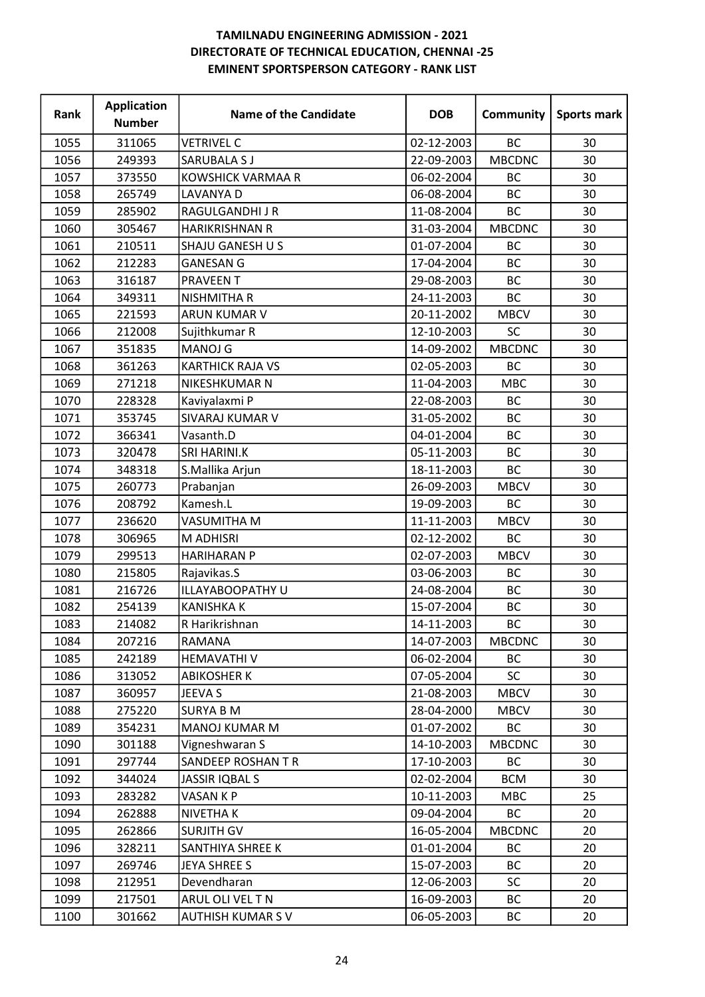| Rank | <b>Application</b><br><b>Number</b> | <b>Name of the Candidate</b> | <b>DOB</b> | Community     | <b>Sports mark</b> |
|------|-------------------------------------|------------------------------|------------|---------------|--------------------|
| 1055 | 311065                              | <b>VETRIVEL C</b>            | 02-12-2003 | <b>BC</b>     | 30                 |
| 1056 | 249393                              | <b>SARUBALA S J</b>          | 22-09-2003 | <b>MBCDNC</b> | 30                 |
| 1057 | 373550                              | <b>KOWSHICK VARMAA R</b>     | 06-02-2004 | <b>BC</b>     | 30                 |
| 1058 | 265749                              | LAVANYA D                    | 06-08-2004 | BC            | 30                 |
| 1059 | 285902                              | <b>RAGULGANDHIJR</b>         | 11-08-2004 | <b>BC</b>     | 30                 |
| 1060 | 305467                              | <b>HARIKRISHNAN R</b>        | 31-03-2004 | <b>MBCDNC</b> | 30                 |
| 1061 | 210511                              | SHAJU GANESH U S             | 01-07-2004 | BC            | 30                 |
| 1062 | 212283                              | <b>GANESAN G</b>             | 17-04-2004 | <b>BC</b>     | 30                 |
| 1063 | 316187                              | <b>PRAVEEN T</b>             | 29-08-2003 | BC            | 30                 |
| 1064 | 349311                              | <b>NISHMITHA R</b>           | 24-11-2003 | <b>BC</b>     | 30                 |
| 1065 | 221593                              | ARUN KUMAR V                 | 20-11-2002 | <b>MBCV</b>   | 30                 |
| 1066 | 212008                              | Sujithkumar R                | 12-10-2003 | SC            | 30                 |
| 1067 | 351835                              | <b>MANOJ G</b>               | 14-09-2002 | <b>MBCDNC</b> | 30                 |
| 1068 | 361263                              | <b>KARTHICK RAJA VS</b>      | 02-05-2003 | BC            | 30                 |
| 1069 | 271218                              | NIKESHKUMAR N                | 11-04-2003 | <b>MBC</b>    | 30                 |
| 1070 | 228328                              | Kaviyalaxmi P                | 22-08-2003 | <b>BC</b>     | 30                 |
| 1071 | 353745                              | <b>SIVARAJ KUMAR V</b>       | 31-05-2002 | BC            | 30                 |
| 1072 | 366341                              | Vasanth.D                    | 04-01-2004 | <b>BC</b>     | 30                 |
| 1073 | 320478                              | SRI HARINI.K                 | 05-11-2003 | <b>BC</b>     | 30                 |
| 1074 | 348318                              | S.Mallika Arjun              | 18-11-2003 | <b>BC</b>     | 30                 |
| 1075 | 260773                              | Prabanjan                    | 26-09-2003 | <b>MBCV</b>   | 30                 |
| 1076 | 208792                              | Kamesh.L                     | 19-09-2003 | <b>BC</b>     | 30                 |
| 1077 | 236620                              | VASUMITHA M                  | 11-11-2003 | <b>MBCV</b>   | 30                 |
| 1078 | 306965                              | M ADHISRI                    | 02-12-2002 | BC            | 30                 |
| 1079 | 299513                              | <b>HARIHARAN P</b>           | 02-07-2003 | <b>MBCV</b>   | 30                 |
| 1080 | 215805                              | Rajavikas.S                  | 03-06-2003 | BC            | 30                 |
| 1081 | 216726                              | ILLAYABOOPATHY U             | 24-08-2004 | <b>BC</b>     | 30                 |
| 1082 | 254139                              | <b>KANISHKA K</b>            | 15-07-2004 | <b>BC</b>     | 30                 |
| 1083 | 214082                              | R Harikrishnan               | 14-11-2003 | BC            | 30                 |
| 1084 | 207216                              | RAMANA                       | 14-07-2003 | <b>MBCDNC</b> | 30                 |
| 1085 | 242189                              | <b>HEMAVATHIV</b>            | 06-02-2004 | BC            | 30                 |
| 1086 | 313052                              | <b>ABIKOSHER K</b>           | 07-05-2004 | <b>SC</b>     | 30                 |
| 1087 | 360957                              | JEEVA S                      | 21-08-2003 | <b>MBCV</b>   | 30                 |
| 1088 | 275220                              | <b>SURYA B M</b>             | 28-04-2000 | <b>MBCV</b>   | 30                 |
| 1089 | 354231                              | <b>MANOJ KUMAR M</b>         | 01-07-2002 | BC            | 30                 |
| 1090 | 301188                              | Vigneshwaran S               | 14-10-2003 | <b>MBCDNC</b> | 30                 |
| 1091 | 297744                              | SANDEEP ROSHAN T R           | 17-10-2003 | BC            | 30                 |
| 1092 | 344024                              | <b>JASSIR IQBAL S</b>        | 02-02-2004 | <b>BCM</b>    | 30                 |
| 1093 | 283282                              | VASAN K P                    | 10-11-2003 | <b>MBC</b>    | 25                 |
| 1094 | 262888                              | NIVETHA K                    | 09-04-2004 | <b>BC</b>     | 20                 |
| 1095 | 262866                              | <b>SURJITH GV</b>            | 16-05-2004 | <b>MBCDNC</b> | 20                 |
| 1096 | 328211                              | SANTHIYA SHREE K             | 01-01-2004 | BC            | 20                 |
| 1097 | 269746                              | <b>JEYA SHREE S</b>          | 15-07-2003 | BC            | 20                 |
| 1098 | 212951                              | Devendharan                  | 12-06-2003 | <b>SC</b>     | 20                 |
| 1099 | 217501                              | ARUL OLI VEL T N             | 16-09-2003 | BC            | 20                 |
| 1100 | 301662                              | <b>AUTHISH KUMAR S V</b>     | 06-05-2003 | ВC            | 20                 |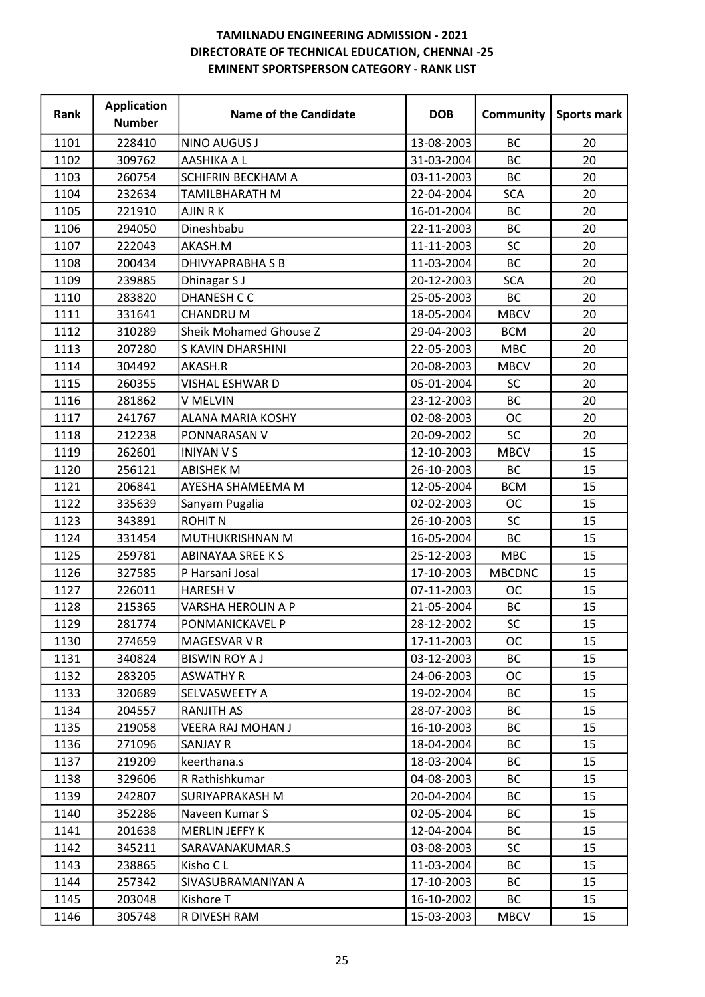| Rank | <b>Application</b><br><b>Number</b> | <b>Name of the Candidate</b>  | <b>DOB</b> | Community     | <b>Sports mark</b> |
|------|-------------------------------------|-------------------------------|------------|---------------|--------------------|
| 1101 | 228410                              | <b>NINO AUGUS J</b>           | 13-08-2003 | <b>BC</b>     | 20                 |
| 1102 | 309762                              | AASHIKA A L                   | 31-03-2004 | <b>BC</b>     | 20                 |
| 1103 | 260754                              | <b>SCHIFRIN BECKHAM A</b>     | 03-11-2003 | <b>BC</b>     | 20                 |
| 1104 | 232634                              | TAMILBHARATH M                | 22-04-2004 | <b>SCA</b>    | 20                 |
| 1105 | 221910                              | AJIN R K                      | 16-01-2004 | <b>BC</b>     | 20                 |
| 1106 | 294050                              | Dineshbabu                    | 22-11-2003 | <b>BC</b>     | 20                 |
| 1107 | 222043                              | AKASH.M                       | 11-11-2003 | <b>SC</b>     | 20                 |
| 1108 | 200434                              | <b>DHIVYAPRABHA S B</b>       | 11-03-2004 | <b>BC</b>     | 20                 |
| 1109 | 239885                              | Dhinagar S J                  | 20-12-2003 | <b>SCA</b>    | 20                 |
| 1110 | 283820                              | <b>DHANESH C C</b>            | 25-05-2003 | <b>BC</b>     | 20                 |
| 1111 | 331641                              | <b>CHANDRUM</b>               | 18-05-2004 | <b>MBCV</b>   | 20                 |
| 1112 | 310289                              | <b>Sheik Mohamed Ghouse Z</b> | 29-04-2003 | <b>BCM</b>    | 20                 |
| 1113 | 207280                              | S KAVIN DHARSHINI             | 22-05-2003 | <b>MBC</b>    | 20                 |
| 1114 | 304492                              | AKASH.R                       | 20-08-2003 | <b>MBCV</b>   | 20                 |
| 1115 | 260355                              | VISHAL ESHWAR D               | 05-01-2004 | SC            | 20                 |
| 1116 | 281862                              | V MELVIN                      | 23-12-2003 | <b>BC</b>     | 20                 |
| 1117 | 241767                              | <b>ALANA MARIA KOSHY</b>      | 02-08-2003 | <b>OC</b>     | 20                 |
| 1118 | 212238                              | PONNARASAN V                  | 20-09-2002 | SC            | 20                 |
| 1119 | 262601                              | <b>INIYAN V S</b>             | 12-10-2003 | <b>MBCV</b>   | 15                 |
| 1120 | 256121                              | <b>ABISHEK M</b>              | 26-10-2003 | <b>BC</b>     | 15                 |
| 1121 | 206841                              | AYESHA SHAMEEMA M             | 12-05-2004 | <b>BCM</b>    | 15                 |
| 1122 | 335639                              | Sanyam Pugalia                | 02-02-2003 | <b>OC</b>     | 15                 |
| 1123 | 343891                              | <b>ROHIT N</b>                | 26-10-2003 | <b>SC</b>     | 15                 |
| 1124 | 331454                              | MUTHUKRISHNAN M               | 16-05-2004 | <b>BC</b>     | 15                 |
| 1125 | 259781                              | <b>ABINAYAA SREE K S</b>      | 25-12-2003 | <b>MBC</b>    | 15                 |
| 1126 | 327585                              | P Harsani Josal               | 17-10-2003 | <b>MBCDNC</b> | 15                 |
| 1127 | 226011                              | <b>HARESH V</b>               | 07-11-2003 | <b>OC</b>     | 15                 |
| 1128 | 215365                              | VARSHA HEROLIN A P            | 21-05-2004 | <b>BC</b>     | 15                 |
| 1129 | 281774                              | PONMANICKAVEL P               | 28-12-2002 | SC            | 15                 |
| 1130 | 274659                              | MAGESVAR V R                  | 17-11-2003 | <b>OC</b>     | 15                 |
| 1131 | 340824                              | <b>BISWIN ROY A J</b>         | 03-12-2003 | <b>BC</b>     | 15                 |
| 1132 | 283205                              | <b>ASWATHY R</b>              | 24-06-2003 | <b>OC</b>     | 15                 |
| 1133 | 320689                              | SELVASWEETY A                 | 19-02-2004 | ВC            | 15                 |
| 1134 | 204557                              | <b>RANJITH AS</b>             | 28-07-2003 | BC            | 15                 |
| 1135 | 219058                              | <b>VEERA RAJ MOHAN J</b>      | 16-10-2003 | ВC            | 15                 |
| 1136 | 271096                              | <b>SANJAY R</b>               | 18-04-2004 | BC            | 15                 |
| 1137 | 219209                              | keerthana.s                   | 18-03-2004 | BC            | 15                 |
| 1138 | 329606                              | R Rathishkumar                | 04-08-2003 | <b>BC</b>     | 15                 |
| 1139 | 242807                              | <b>SURIYAPRAKASH M</b>        | 20-04-2004 | <b>BC</b>     | 15                 |
| 1140 | 352286                              | Naveen Kumar S                | 02-05-2004 | BC            | 15                 |
| 1141 | 201638                              | <b>MERLIN JEFFY K</b>         | 12-04-2004 | <b>BC</b>     | 15                 |
| 1142 | 345211                              | SARAVANAKUMAR.S               | 03-08-2003 | <b>SC</b>     | 15                 |
| 1143 | 238865                              | Kisho C L                     | 11-03-2004 | <b>BC</b>     | 15                 |
| 1144 | 257342                              | SIVASUBRAMANIYAN A            | 17-10-2003 | BC            | 15                 |
| 1145 | 203048                              | Kishore T                     | 16-10-2002 | ВC            | 15                 |
| 1146 | 305748                              | R DIVESH RAM                  | 15-03-2003 | <b>MBCV</b>   | 15                 |